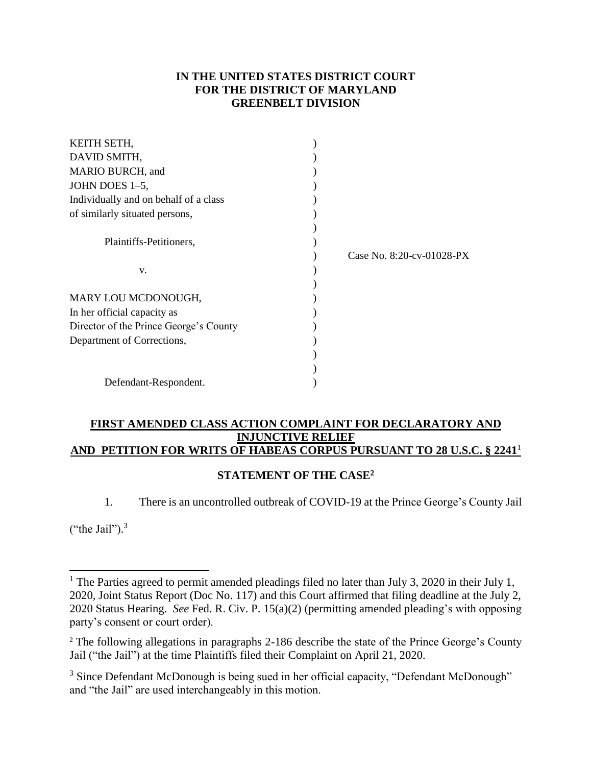# **IN THE UNITED STATES DISTRICT COURT FOR THE DISTRICT OF MARYLAND GREENBELT DIVISION**

| KEITH SETH,                            |                           |
|----------------------------------------|---------------------------|
| DAVID SMITH,                           |                           |
| MARIO BURCH, and                       |                           |
| JOHN DOES 1-5,                         |                           |
| Individually and on behalf of a class  |                           |
| of similarly situated persons,         |                           |
|                                        |                           |
| Plaintiffs-Petitioners,                |                           |
|                                        | Case No. 8:20-cv-01028-PX |
| V.                                     |                           |
|                                        |                           |
| MARY LOU MCDONOUGH,                    |                           |
| In her official capacity as            |                           |
| Director of the Prince George's County |                           |
| Department of Corrections,             |                           |
|                                        |                           |
|                                        |                           |
| Defendant-Respondent.                  |                           |

### **FIRST AMENDED CLASS ACTION COMPLAINT FOR DECLARATORY AND INJUNCTIVE RELIEF AND PETITION FOR WRITS OF HABEAS CORPUS PURSUANT TO 28 U.S.C. § 2241**<sup>1</sup>

# **STATEMENT OF THE CASE<sup>2</sup>**

1. There is an uncontrolled outbreak of COVID-19 at the Prince George's County Jail

("the Jail").<sup>3</sup>

<sup>&</sup>lt;sup>1</sup> The Parties agreed to permit amended pleadings filed no later than July 3, 2020 in their July 1, 2020, Joint Status Report (Doc No. 117) and this Court affirmed that filing deadline at the July 2, 2020 Status Hearing. *See* Fed. R. Civ. P. 15(a)(2) (permitting amended pleading's with opposing party's consent or court order).

<sup>&</sup>lt;sup>2</sup> The following allegations in paragraphs 2-186 describe the state of the Prince George's County Jail ("the Jail") at the time Plaintiffs filed their Complaint on April 21, 2020.

<sup>&</sup>lt;sup>3</sup> Since Defendant McDonough is being sued in her official capacity, "Defendant McDonough" and "the Jail" are used interchangeably in this motion.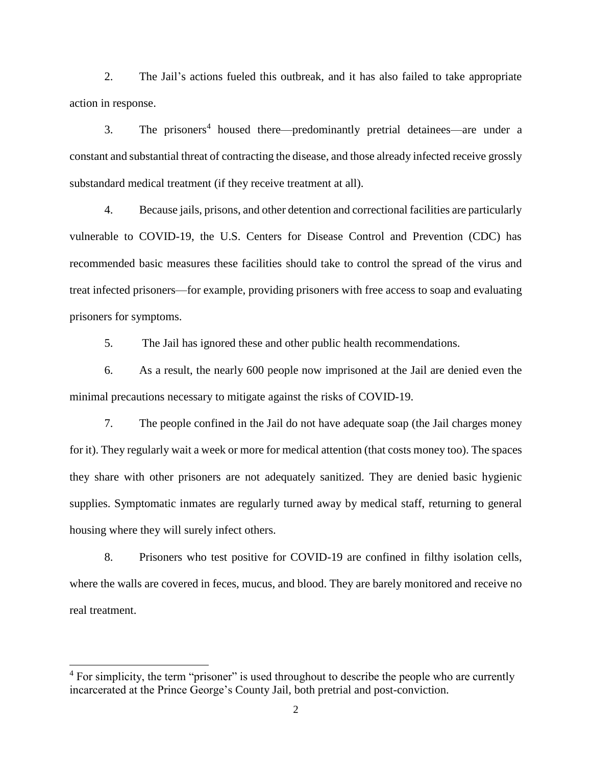2. The Jail's actions fueled this outbreak, and it has also failed to take appropriate action in response.

3. The prisoners<sup>4</sup> housed there—predominantly pretrial detainees—are under a constant and substantial threat of contracting the disease, and those already infected receive grossly substandard medical treatment (if they receive treatment at all).

4. Because jails, prisons, and other detention and correctional facilities are particularly vulnerable to COVID-19, the U.S. Centers for Disease Control and Prevention (CDC) has recommended basic measures these facilities should take to control the spread of the virus and treat infected prisoners—for example, providing prisoners with free access to soap and evaluating prisoners for symptoms.

5. The Jail has ignored these and other public health recommendations.

6. As a result, the nearly 600 people now imprisoned at the Jail are denied even the minimal precautions necessary to mitigate against the risks of COVID-19.

7. The people confined in the Jail do not have adequate soap (the Jail charges money for it). They regularly wait a week or more for medical attention (that costs money too). The spaces they share with other prisoners are not adequately sanitized. They are denied basic hygienic supplies. Symptomatic inmates are regularly turned away by medical staff, returning to general housing where they will surely infect others.

8. Prisoners who test positive for COVID-19 are confined in filthy isolation cells, where the walls are covered in feces, mucus, and blood. They are barely monitored and receive no real treatment.

<sup>&</sup>lt;sup>4</sup> For simplicity, the term "prisoner" is used throughout to describe the people who are currently incarcerated at the Prince George's County Jail, both pretrial and post-conviction.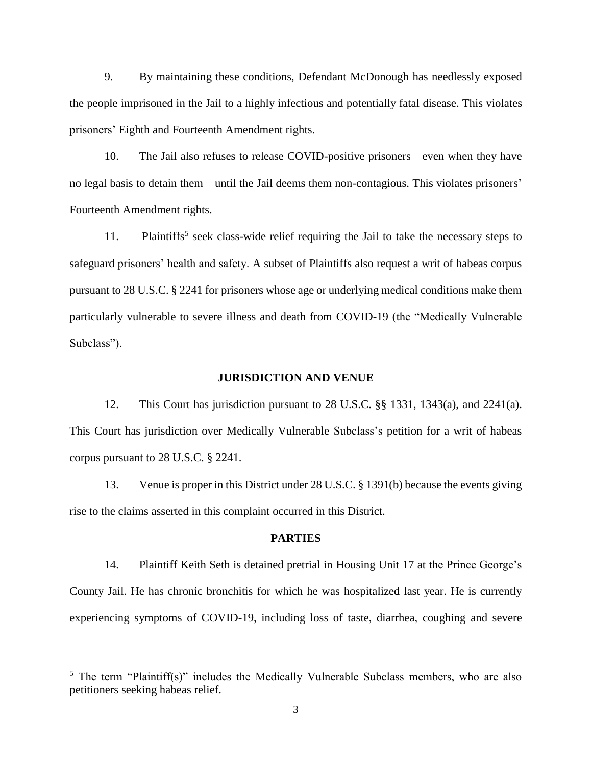9. By maintaining these conditions, Defendant McDonough has needlessly exposed the people imprisoned in the Jail to a highly infectious and potentially fatal disease. This violates prisoners' Eighth and Fourteenth Amendment rights.

10. The Jail also refuses to release COVID-positive prisoners—even when they have no legal basis to detain them—until the Jail deems them non-contagious. This violates prisoners' Fourteenth Amendment rights.

11. Plaintiffs<sup>5</sup> seek class-wide relief requiring the Jail to take the necessary steps to safeguard prisoners' health and safety. A subset of Plaintiffs also request a writ of habeas corpus pursuant to 28 U.S.C. § 2241 for prisoners whose age or underlying medical conditions make them particularly vulnerable to severe illness and death from COVID-19 (the "Medically Vulnerable Subclass").

#### **JURISDICTION AND VENUE**

12. This Court has jurisdiction pursuant to 28 U.S.C. §§ 1331, 1343(a), and 2241(a). This Court has jurisdiction over Medically Vulnerable Subclass's petition for a writ of habeas corpus pursuant to 28 U.S.C. § 2241.

13. Venue is proper in this District under 28 U.S.C. § 1391(b) because the events giving rise to the claims asserted in this complaint occurred in this District.

### **PARTIES**

14. Plaintiff Keith Seth is detained pretrial in Housing Unit 17 at the Prince George's County Jail. He has chronic bronchitis for which he was hospitalized last year. He is currently experiencing symptoms of COVID-19, including loss of taste, diarrhea, coughing and severe

<sup>&</sup>lt;sup>5</sup> The term "Plaintiff(s)" includes the Medically Vulnerable Subclass members, who are also petitioners seeking habeas relief.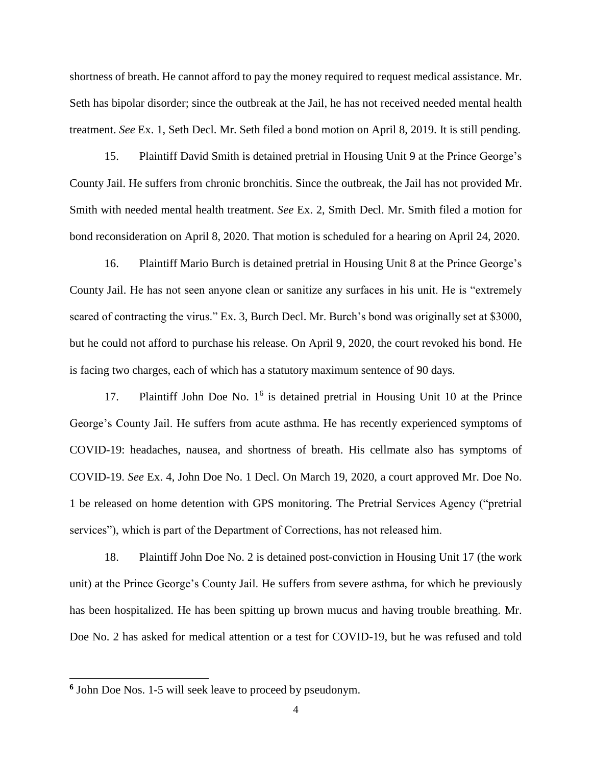shortness of breath. He cannot afford to pay the money required to request medical assistance. Mr. Seth has bipolar disorder; since the outbreak at the Jail, he has not received needed mental health treatment. *See* Ex. 1, Seth Decl. Mr. Seth filed a bond motion on April 8, 2019. It is still pending.

15. Plaintiff David Smith is detained pretrial in Housing Unit 9 at the Prince George's County Jail. He suffers from chronic bronchitis. Since the outbreak, the Jail has not provided Mr. Smith with needed mental health treatment. *See* Ex. 2, Smith Decl. Mr. Smith filed a motion for bond reconsideration on April 8, 2020. That motion is scheduled for a hearing on April 24, 2020.

16. Plaintiff Mario Burch is detained pretrial in Housing Unit 8 at the Prince George's County Jail. He has not seen anyone clean or sanitize any surfaces in his unit. He is "extremely scared of contracting the virus." Ex. 3, Burch Decl. Mr. Burch's bond was originally set at \$3000, but he could not afford to purchase his release. On April 9, 2020, the court revoked his bond. He is facing two charges, each of which has a statutory maximum sentence of 90 days.

17. Plaintiff John Doe No. 1<sup>6</sup> is detained pretrial in Housing Unit 10 at the Prince George's County Jail. He suffers from acute asthma. He has recently experienced symptoms of COVID-19: headaches, nausea, and shortness of breath. His cellmate also has symptoms of COVID-19. *See* Ex. 4, John Doe No. 1 Decl. On March 19, 2020, a court approved Mr. Doe No. 1 be released on home detention with GPS monitoring. The Pretrial Services Agency ("pretrial services"), which is part of the Department of Corrections, has not released him.

18. Plaintiff John Doe No. 2 is detained post-conviction in Housing Unit 17 (the work unit) at the Prince George's County Jail. He suffers from severe asthma, for which he previously has been hospitalized. He has been spitting up brown mucus and having trouble breathing. Mr. Doe No. 2 has asked for medical attention or a test for COVID-19, but he was refused and told

**<sup>6</sup>** John Doe Nos. 1-5 will seek leave to proceed by pseudonym.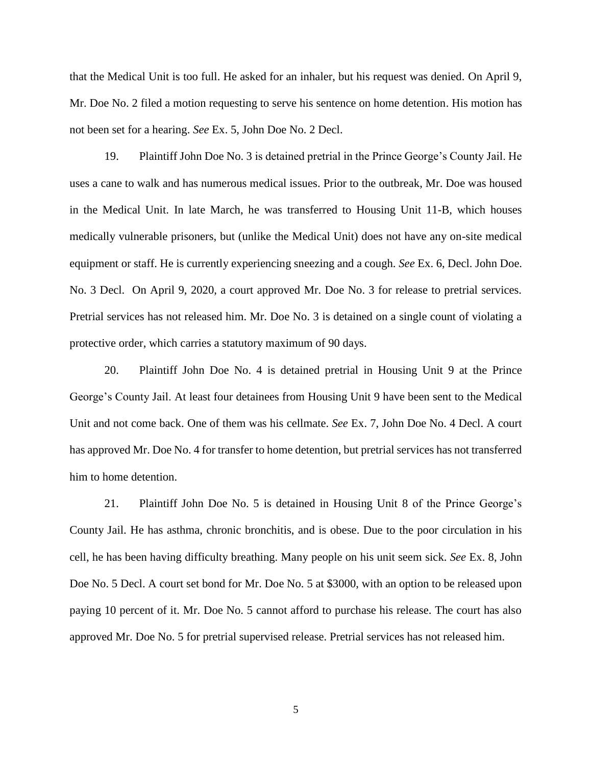that the Medical Unit is too full. He asked for an inhaler, but his request was denied. On April 9, Mr. Doe No. 2 filed a motion requesting to serve his sentence on home detention. His motion has not been set for a hearing. *See* Ex. 5, John Doe No. 2 Decl.

19. Plaintiff John Doe No. 3 is detained pretrial in the Prince George's County Jail. He uses a cane to walk and has numerous medical issues. Prior to the outbreak, Mr. Doe was housed in the Medical Unit. In late March, he was transferred to Housing Unit 11-B, which houses medically vulnerable prisoners, but (unlike the Medical Unit) does not have any on-site medical equipment or staff. He is currently experiencing sneezing and a cough. *See* Ex. 6, Decl. John Doe. No. 3 Decl. On April 9, 2020, a court approved Mr. Doe No. 3 for release to pretrial services. Pretrial services has not released him. Mr. Doe No. 3 is detained on a single count of violating a protective order, which carries a statutory maximum of 90 days.

20. Plaintiff John Doe No. 4 is detained pretrial in Housing Unit 9 at the Prince George's County Jail. At least four detainees from Housing Unit 9 have been sent to the Medical Unit and not come back. One of them was his cellmate. *See* Ex. 7, John Doe No. 4 Decl. A court has approved Mr. Doe No. 4 for transfer to home detention, but pretrial services has not transferred him to home detention.

21. Plaintiff John Doe No. 5 is detained in Housing Unit 8 of the Prince George's County Jail. He has asthma, chronic bronchitis, and is obese. Due to the poor circulation in his cell, he has been having difficulty breathing. Many people on his unit seem sick. *See* Ex. 8, John Doe No. 5 Decl. A court set bond for Mr. Doe No. 5 at \$3000, with an option to be released upon paying 10 percent of it. Mr. Doe No. 5 cannot afford to purchase his release. The court has also approved Mr. Doe No. 5 for pretrial supervised release. Pretrial services has not released him.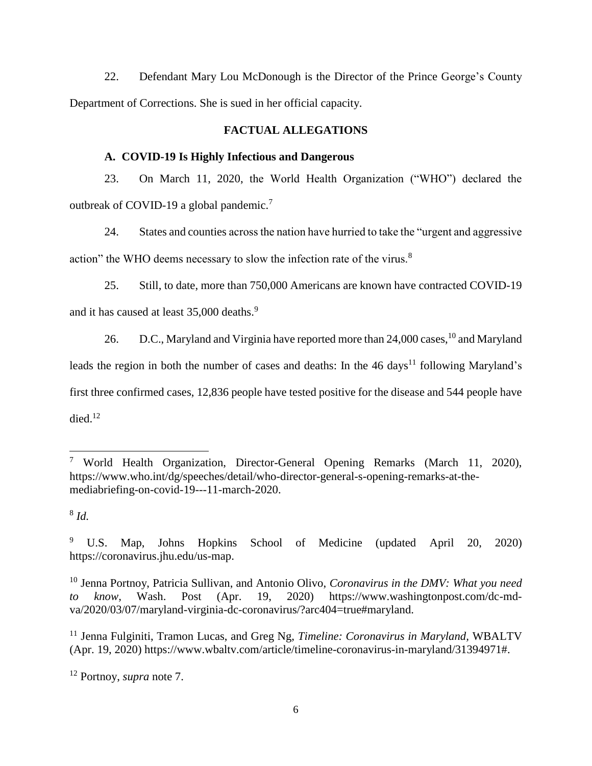22. Defendant Mary Lou McDonough is the Director of the Prince George's County Department of Corrections. She is sued in her official capacity.

# **FACTUAL ALLEGATIONS**

### **A. COVID-19 Is Highly Infectious and Dangerous**

23. On March 11, 2020, the World Health Organization ("WHO") declared the outbreak of COVID-19 a global pandemic.<sup>7</sup>

24. States and counties across the nation have hurried to take the "urgent and aggressive action" the WHO deems necessary to slow the infection rate of the virus.<sup>8</sup>

25. Still, to date, more than 750,000 Americans are known have contracted COVID-19 and it has caused at least 35,000 deaths.<sup>9</sup>

26. D.C., Maryland and Virginia have reported more than 24,000 cases, <sup>10</sup> and Maryland leads the region in both the number of cases and deaths: In the  $46 \text{ days}^{11}$  following Maryland's first three confirmed cases, 12,836 people have tested positive for the disease and 544 people have died. 12

8 *Id.* 

 <sup>7</sup> World Health Organization, Director-General Opening Remarks (March 11, 2020), https://www.who.int/dg/speeches/detail/who-director-general-s-opening-remarks-at-themediabriefing-on-covid-19---11-march-2020.

<sup>9</sup> U.S. Map, Johns Hopkins School of Medicine (updated April 20, 2020) https://coronavirus.jhu.edu/us-map.

<sup>10</sup> Jenna Portnoy, Patricia Sullivan, and Antonio Olivo, *Coronavirus in the DMV: What you need to know,* Wash. Post (Apr. 19, 2020) https://www.washingtonpost.com/dc-mdva/2020/03/07/maryland-virginia-dc-coronavirus/?arc404=true#maryland.

<sup>11</sup> Jenna Fulginiti, Tramon Lucas, and Greg Ng, *Timeline: Coronavirus in Maryland,* WBALTV (Apr. 19, 2020) https://www.wbaltv.com/article/timeline-coronavirus-in-maryland/31394971#.

<sup>12</sup> Portnoy, *supra* note 7.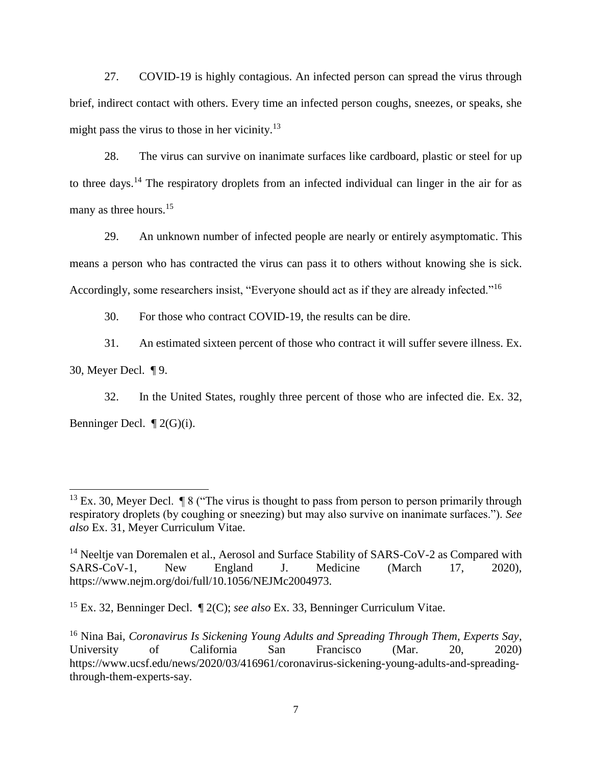27. COVID-19 is highly contagious. An infected person can spread the virus through brief, indirect contact with others. Every time an infected person coughs, sneezes, or speaks, she might pass the virus to those in her vicinity.<sup>13</sup>

28. The virus can survive on inanimate surfaces like cardboard, plastic or steel for up to three days.<sup>14</sup> The respiratory droplets from an infected individual can linger in the air for as many as three hours.<sup>15</sup>

29. An unknown number of infected people are nearly or entirely asymptomatic. This means a person who has contracted the virus can pass it to others without knowing she is sick. Accordingly, some researchers insist, "Everyone should act as if they are already infected."<sup>16</sup>

30. For those who contract COVID-19, the results can be dire.

31. An estimated sixteen percent of those who contract it will suffer severe illness. Ex.

30, Meyer Decl. ¶ 9.

32. In the United States, roughly three percent of those who are infected die. Ex. 32, Benninger Decl. ¶ 2(G)(i).

<sup>&</sup>lt;sup>13</sup> Ex. 30, Meyer Decl.  $\sqrt{\ }8$  ("The virus is thought to pass from person to person primarily through respiratory droplets (by coughing or sneezing) but may also survive on inanimate surfaces."). *See also* Ex. 31, Meyer Curriculum Vitae.

<sup>&</sup>lt;sup>14</sup> Neeltje van Doremalen et al., Aerosol and Surface Stability of SARS-CoV-2 as Compared with SARS-CoV-1, New England J. Medicine (March 17, 2020), https://www.nejm.org/doi/full/10.1056/NEJMc2004973.

<sup>15</sup> Ex. 32, Benninger Decl. ¶ 2(C); *see also* Ex. 33, Benninger Curriculum Vitae.

<sup>16</sup> Nina Bai, *Coronavirus Is Sickening Young Adults and Spreading Through Them, Experts Say*, University of California San Francisco (Mar. 20, 2020) https://www.ucsf.edu/news/2020/03/416961/coronavirus-sickening-young-adults-and-spreadingthrough-them-experts-say.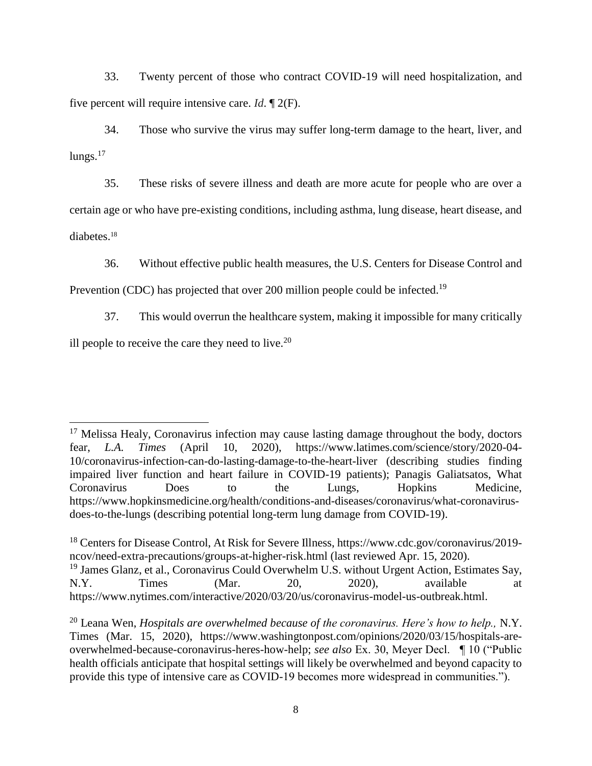33. Twenty percent of those who contract COVID-19 will need hospitalization, and five percent will require intensive care. *Id*. ¶ 2(F).

34. Those who survive the virus may suffer long-term damage to the heart, liver, and  $lungs.<sup>17</sup>$ 

35. These risks of severe illness and death are more acute for people who are over a certain age or who have pre-existing conditions, including asthma, lung disease, heart disease, and diabetes.<sup>18</sup>

36. Without effective public health measures, the U.S. Centers for Disease Control and

Prevention (CDC) has projected that over 200 million people could be infected.<sup>19</sup>

37. This would overrun the healthcare system, making it impossible for many critically ill people to receive the care they need to live. $20$ 

  $17$  Melissa Healy, Coronavirus infection may cause lasting damage throughout the body, doctors fear, *L.A. Times* (April 10, 2020), https://www.latimes.com/science/story/2020-04- 10/coronavirus-infection-can-do-lasting-damage-to-the-heart-liver (describing studies finding impaired liver function and heart failure in COVID-19 patients); Panagis Galiatsatos, What Coronavirus Does to the Lungs, Hopkins Medicine, https://www.hopkinsmedicine.org/health/conditions-and-diseases/coronavirus/what-coronavirusdoes-to-the-lungs (describing potential long-term lung damage from COVID-19).

<sup>&</sup>lt;sup>18</sup> Centers for Disease Control, At Risk for Severe Illness, https://www.cdc.gov/coronavirus/2019ncov/need-extra-precautions/groups-at-higher-risk.html (last reviewed Apr. 15, 2020). <sup>19</sup> James Glanz, et al., Coronavirus Could Overwhelm U.S. without Urgent Action, Estimates Say, N.Y. Times (Mar. 20, 2020), available at https://www.nytimes.com/interactive/2020/03/20/us/coronavirus-model-us-outbreak.html.

<sup>20</sup> Leana Wen, *Hospitals are overwhelmed because of the coronavirus. Here's how to help.,* N.Y. Times (Mar. 15, 2020), https://www.washingtonpost.com/opinions/2020/03/15/hospitals-areoverwhelmed-because-coronavirus-heres-how-help; *see also* Ex. 30, Meyer Decl. ¶ 10 ("Public health officials anticipate that hospital settings will likely be overwhelmed and beyond capacity to provide this type of intensive care as COVID-19 becomes more widespread in communities.").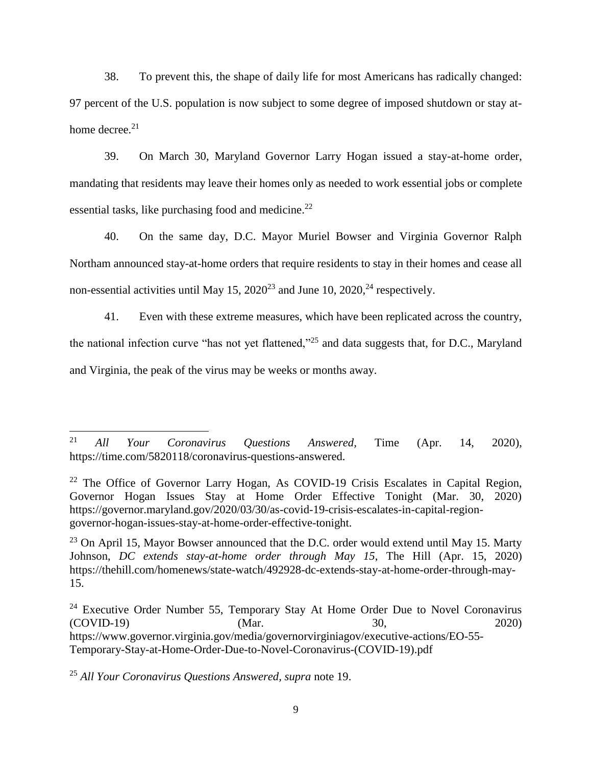38. To prevent this, the shape of daily life for most Americans has radically changed: 97 percent of the U.S. population is now subject to some degree of imposed shutdown or stay athome decree. $21$ 

39. On March 30, Maryland Governor Larry Hogan issued a stay-at-home order, mandating that residents may leave their homes only as needed to work essential jobs or complete essential tasks, like purchasing food and medicine.<sup>22</sup>

40. On the same day, D.C. Mayor Muriel Bowser and Virginia Governor Ralph Northam announced stay-at-home orders that require residents to stay in their homes and cease all non-essential activities until May 15,  $2020^{23}$  and June 10,  $2020^{24}$  respectively.

41. Even with these extreme measures, which have been replicated across the country, the national infection curve "has not yet flattened,"<sup>25</sup> and data suggests that, for D.C., Maryland and Virginia, the peak of the virus may be weeks or months away.

<sup>25</sup> *All Your Coronavirus Questions Answered, supra* note 19.

<sup>21</sup> <sup>21</sup> *All Your Coronavirus Questions Answered,* Time (Apr. 14, 2020), https://time.com/5820118/coronavirus-questions-answered.

<sup>&</sup>lt;sup>22</sup> The Office of Governor Larry Hogan, As COVID-19 Crisis Escalates in Capital Region, Governor Hogan Issues Stay at Home Order Effective Tonight (Mar. 30, 2020) https://governor.maryland.gov/2020/03/30/as-covid-19-crisis-escalates-in-capital-regiongovernor-hogan-issues-stay-at-home-order-effective-tonight.

 $23$  On April 15, Mayor Bowser announced that the D.C. order would extend until May 15. Marty Johnson, *DC extends stay-at-home order through May 15*, The Hill (Apr. 15, 2020) https://thehill.com/homenews/state-watch/492928-dc-extends-stay-at-home-order-through-may-15.

 $24$  Executive Order Number 55, Temporary Stay At Home Order Due to Novel Coronavirus (COVID-19) (Mar. 30, 2020) https://www.governor.virginia.gov/media/governorvirginiagov/executive-actions/EO-55- Temporary-Stay-at-Home-Order-Due-to-Novel-Coronavirus-(COVID-19).pdf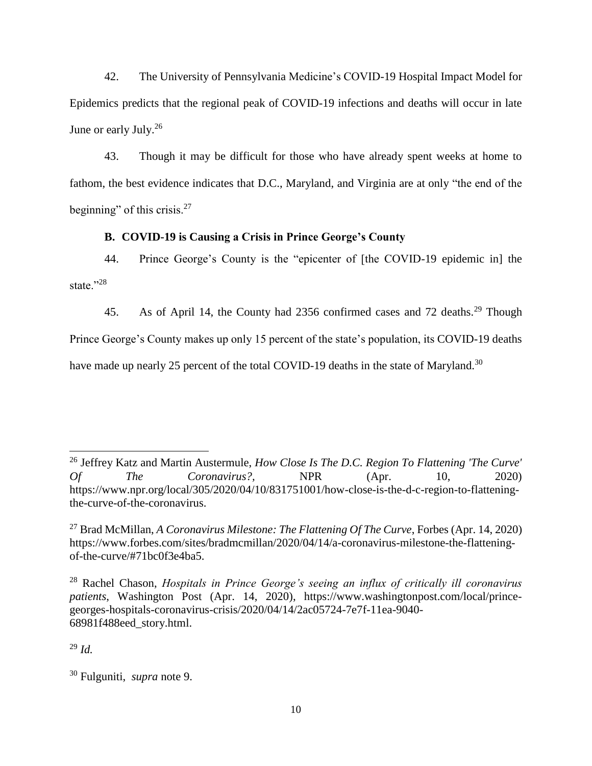42. The University of Pennsylvania Medicine's COVID-19 Hospital Impact Model for Epidemics predicts that the regional peak of COVID-19 infections and deaths will occur in late June or early July.<sup>26</sup>

43. Though it may be difficult for those who have already spent weeks at home to fathom, the best evidence indicates that D.C., Maryland, and Virginia are at only "the end of the beginning" of this crisis. $27$ 

## **B. COVID-19 is Causing a Crisis in Prince George's County**

44. Prince George's County is the "epicenter of [the COVID-19 epidemic in] the state."28

45. As of April 14, the County had 2356 confirmed cases and 72 deaths.<sup>29</sup> Though

Prince George's County makes up only 15 percent of the state's population, its COVID-19 deaths

have made up nearly 25 percent of the total COVID-19 deaths in the state of Maryland.<sup>30</sup>

 $^{29}$  *Id*.

<sup>26</sup> Jeffrey Katz and Martin Austermule, *How Close Is The D.C. Region To Flattening 'The Curve' Of The Coronavirus?,* NPR (Apr. 10, 2020) https://www.npr.org/local/305/2020/04/10/831751001/how-close-is-the-d-c-region-to-flatteningthe-curve-of-the-coronavirus.

<sup>27</sup> Brad McMillan, *A Coronavirus Milestone: The Flattening Of The Curve*, Forbes (Apr. 14, 2020) https://www.forbes.com/sites/bradmcmillan/2020/04/14/a-coronavirus-milestone-the-flatteningof-the-curve/#71bc0f3e4ba5.

<sup>28</sup> Rachel Chason, *Hospitals in Prince George's seeing an influx of critically ill coronavirus patients*, Washington Post (Apr. 14, 2020), https://www.washingtonpost.com/local/princegeorges-hospitals-coronavirus-crisis/2020/04/14/2ac05724-7e7f-11ea-9040- 68981f488eed\_story.html.

<sup>30</sup> Fulguniti, *supra* note 9.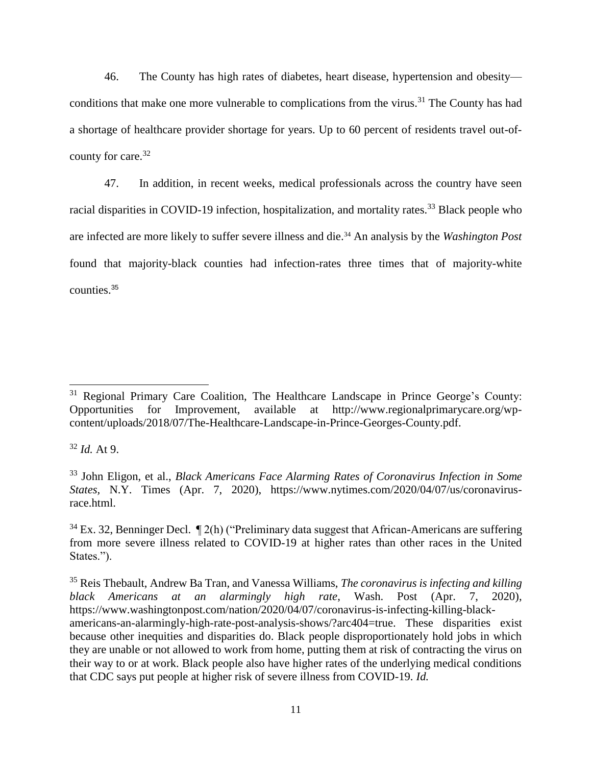46. The County has high rates of diabetes, heart disease, hypertension and obesity conditions that make one more vulnerable to complications from the virus.<sup>31</sup> The County has had a shortage of healthcare provider shortage for years. Up to 60 percent of residents travel out-ofcounty for care.<sup>32</sup>

47. In addition, in recent weeks, medical professionals across the country have seen racial disparities in COVID-19 infection, hospitalization, and mortality rates.<sup>33</sup> Black people who are infected are more likely to suffer severe illness and die.<sup>34</sup> An analysis by the *Washington Post* found that majority-black counties had infection-rates three times that of majority-white counties.<sup>35</sup>

 $32$  *Id.* At 9.

<sup>33</sup> John Eligon, et al., *Black Americans Face Alarming Rates of Coronavirus Infection in Some States,* N.Y. Times (Apr. 7, 2020), https://www.nytimes.com/2020/04/07/us/coronavirusrace.html.

 $34$  Ex. 32, Benninger Decl.  $\P$  2(h) ("Preliminary data suggest that African-Americans are suffering from more severe illness related to COVID-19 at higher rates than other races in the United States.").

<sup>35</sup> Reis Thebault, Andrew Ba Tran, and Vanessa Williams, *The coronavirus is infecting and killing black Americans at an alarmingly high rate*, Wash. Post (Apr. 7, 2020), [https://www.washingtonpost.com/nation/2020/04/07/coronavirus-is-infecting-killing-black](https://www.washingtonpost.com/nation/2020/04/07/coronavirus-is-infecting-killing-black-americans-an-alarmingly-high-rate-post-analysis-shows/?arc404=true)[americans-an-alarmingly-high-rate-post-analysis-shows/?arc404=true.](https://www.washingtonpost.com/nation/2020/04/07/coronavirus-is-infecting-killing-black-americans-an-alarmingly-high-rate-post-analysis-shows/?arc404=true) These disparities exist because other inequities and disparities do. Black people disproportionately hold jobs in which they are unable or not allowed to work from home, putting them at risk of contracting the virus on their way to or at work. Black people also have higher rates of the underlying medical conditions that CDC says put people at higher risk of severe illness from COVID-19. *Id.* 

<sup>&</sup>lt;sup>31</sup> Regional Primary Care Coalition, The Healthcare Landscape in Prince George's County: Opportunities for Improvement, available at http://www.regionalprimarycare.org/wpcontent/uploads/2018/07/The-Healthcare-Landscape-in-Prince-Georges-County.pdf.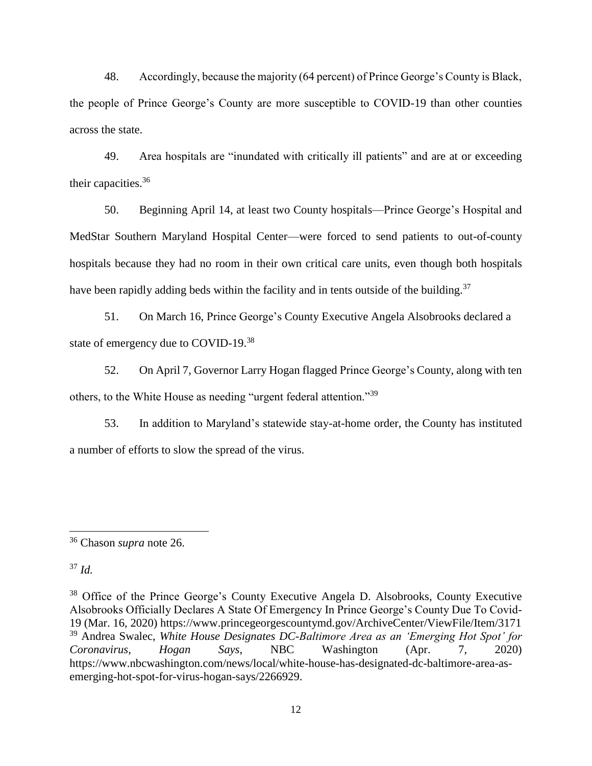48. Accordingly, because the majority (64 percent) of Prince George's County is Black, the people of Prince George's County are more susceptible to COVID-19 than other counties across the state.

49. Area hospitals are "inundated with critically ill patients" and are at or exceeding their capacities.<sup>36</sup>

50. Beginning April 14, at least two County hospitals—Prince George's Hospital and MedStar Southern Maryland Hospital Center—were forced to send patients to out-of-county hospitals because they had no room in their own critical care units, even though both hospitals have been rapidly adding beds within the facility and in tents outside of the building.<sup>37</sup>

51. On March 16, Prince George's County Executive Angela Alsobrooks declared a state of emergency due to COVID-19.<sup>38</sup>

52. On April 7, Governor Larry Hogan flagged Prince George's County, along with ten others, to the White House as needing "urgent federal attention."<sup>39</sup>

53. In addition to Maryland's statewide stay-at-home order, the County has instituted a number of efforts to slow the spread of the virus.

 $37$  *Id.* 

<sup>36</sup> Chason *supra* note 26.

<sup>&</sup>lt;sup>38</sup> Office of the Prince George's County Executive Angela D. Alsobrooks, County Executive Alsobrooks Officially Declares A State Of Emergency In Prince George's County Due To Covid-19 (Mar. 16, 2020) https://www.princegeorgescountymd.gov/ArchiveCenter/ViewFile/Item/3171 <sup>39</sup> Andrea Swalec, *White House Designates DC-Baltimore Area as an 'Emerging Hot Spot' for Coronavirus, Hogan Says*, NBC Washington (Apr. 7, 2020) https://www.nbcwashington.com/news/local/white-house-has-designated-dc-baltimore-area-asemerging-hot-spot-for-virus-hogan-says/2266929.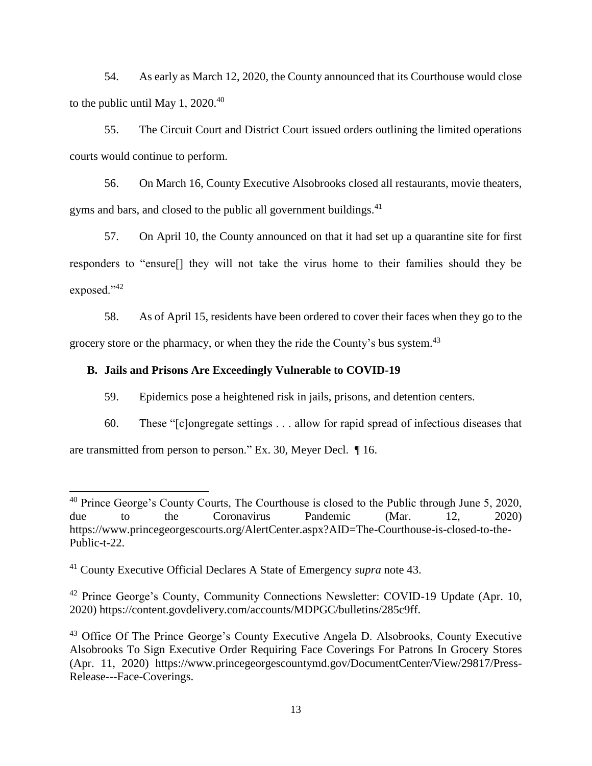54. As early as March 12, 2020, the County announced that its Courthouse would close to the public until May 1,  $2020^{40}$ 

55. The Circuit Court and District Court issued orders outlining the limited operations courts would continue to perform.

56. On March 16, County Executive Alsobrooks closed all restaurants, movie theaters, gyms and bars, and closed to the public all government buildings.<sup>41</sup>

57. On April 10, the County announced on that it had set up a quarantine site for first responders to "ensure[] they will not take the virus home to their families should they be exposed."<sup>42</sup>

58. As of April 15, residents have been ordered to cover their faces when they go to the grocery store or the pharmacy, or when they the ride the County's bus system.<sup>43</sup>

### **B. Jails and Prisons Are Exceedingly Vulnerable to COVID-19**

59. Epidemics pose a heightened risk in jails, prisons, and detention centers.

60. These "[c]ongregate settings . . . allow for rapid spread of infectious diseases that

are transmitted from person to person." Ex. 30, Meyer Decl. ¶ 16.

 $40$  Prince George's County Courts, The Courthouse is closed to the Public through June 5, 2020, due to the Coronavirus Pandemic (Mar. 12, 2020) https://www.princegeorgescourts.org/AlertCenter.aspx?AID=The-Courthouse-is-closed-to-the-Public-t-22.

<sup>41</sup> County Executive Official Declares A State of Emergency *supra* note 43.

<sup>&</sup>lt;sup>42</sup> Prince George's County, Community Connections Newsletter: COVID-19 Update (Apr. 10, 2020) https://content.govdelivery.com/accounts/MDPGC/bulletins/285c9ff.

<sup>&</sup>lt;sup>43</sup> Office Of The Prince George's County Executive Angela D. Alsobrooks, County Executive Alsobrooks To Sign Executive Order Requiring Face Coverings For Patrons In Grocery Stores (Apr. 11, 2020) https://www.princegeorgescountymd.gov/DocumentCenter/View/29817/Press-Release---Face-Coverings.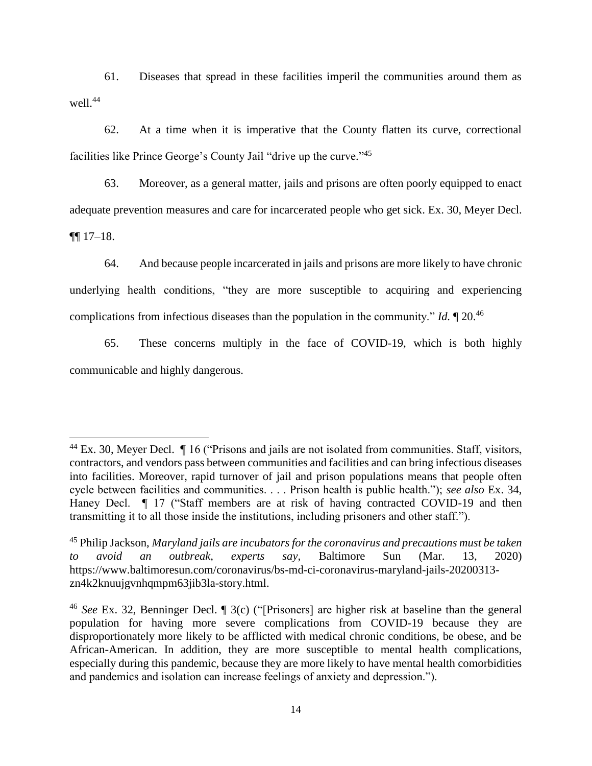61. Diseases that spread in these facilities imperil the communities around them as well.<sup>44</sup>

62. At a time when it is imperative that the County flatten its curve, correctional facilities like Prince George's County Jail "drive up the curve."<sup>45</sup>

63. Moreover, as a general matter, jails and prisons are often poorly equipped to enact adequate prevention measures and care for incarcerated people who get sick. Ex. 30, Meyer Decl. ¶¶ 17–18.

64. And because people incarcerated in jails and prisons are more likely to have chronic underlying health conditions, "they are more susceptible to acquiring and experiencing complications from infectious diseases than the population in the community." *Id.* ¶ 20.<sup>46</sup>

65. These concerns multiply in the face of COVID-19, which is both highly communicable and highly dangerous.

 $^{44}$  Ex. 30, Meyer Decl.  $\parallel$  16 ("Prisons and jails are not isolated from communities. Staff, visitors, contractors, and vendors pass between communities and facilities and can bring infectious diseases into facilities. Moreover, rapid turnover of jail and prison populations means that people often cycle between facilities and communities. . . . Prison health is public health."); *see also* Ex. 34, Haney Decl.  $\parallel$  17 ("Staff members are at risk of having contracted COVID-19 and then transmitting it to all those inside the institutions, including prisoners and other staff.").

<sup>45</sup> Philip Jackson, *Maryland jails are incubators for the coronavirus and precautions must be taken to avoid an outbreak, experts say,* Baltimore Sun (Mar. 13, 2020) https://www.baltimoresun.com/coronavirus/bs-md-ci-coronavirus-maryland-jails-20200313 zn4k2knuujgvnhqmpm63jib3la-story.html.

<sup>46</sup> *See* Ex. 32, Benninger Decl. ¶ 3(c) ("[Prisoners] are higher risk at baseline than the general population for having more severe complications from COVID-19 because they are disproportionately more likely to be afflicted with medical chronic conditions, be obese, and be African-American. In addition, they are more susceptible to mental health complications, especially during this pandemic, because they are more likely to have mental health comorbidities and pandemics and isolation can increase feelings of anxiety and depression.").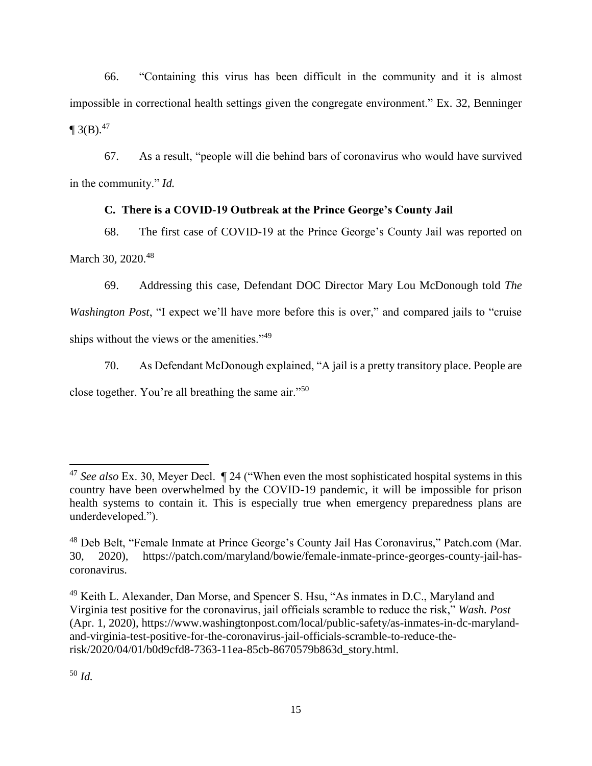66. "Containing this virus has been difficult in the community and it is almost impossible in correctional health settings given the congregate environment." Ex. 32, Benninger  $\P$  3(B).<sup>47</sup>

67. As a result, "people will die behind bars of coronavirus who would have survived in the community." *Id.* 

# **C. There is a COVID-19 Outbreak at the Prince George's County Jail**

68. The first case of COVID-19 at the Prince George's County Jail was reported on March 30, 2020.<sup>48</sup>

69. Addressing this case, Defendant DOC Director Mary Lou McDonough told *The* 

*Washington Post*, "I expect we'll have more before this is over," and compared jails to "cruise ships without the views or the amenities."<sup>49</sup>

70. As Defendant McDonough explained, "A jail is a pretty transitory place. People are close together. You're all breathing the same air."<sup>50</sup>

<sup>47</sup> *See also* Ex. 30, Meyer Decl. ¶ 24 ("When even the most sophisticated hospital systems in this country have been overwhelmed by the COVID-19 pandemic, it will be impossible for prison health systems to contain it. This is especially true when emergency preparedness plans are underdeveloped.").

<sup>48</sup> Deb Belt, "Female Inmate at Prince George's County Jail Has Coronavirus," Patch.com (Mar. 30, 2020), [https://patch.com/maryland/bowie/female-inmate-prince-georges-county-jail-has](https://patch.com/maryland/bowie/female-inmate-prince-georges-county-jail-has-coronavirus)[coronavirus.](https://patch.com/maryland/bowie/female-inmate-prince-georges-county-jail-has-coronavirus)

<sup>49</sup> Keith L. Alexander, Dan Morse, and Spencer S. Hsu, "As inmates in D.C., Maryland and Virginia test positive for the coronavirus, jail officials scramble to reduce the risk," *Wash. Post* (Apr. 1, 2020), https://www.washingtonpost.com/local/public-safety/as-inmates-in-dc-marylandand-virginia-test-positive-for-the-coronavirus-jail-officials-scramble-to-reduce-therisk/2020/04/01/b0d9cfd8-7363-11ea-85cb-8670579b863d\_story.html.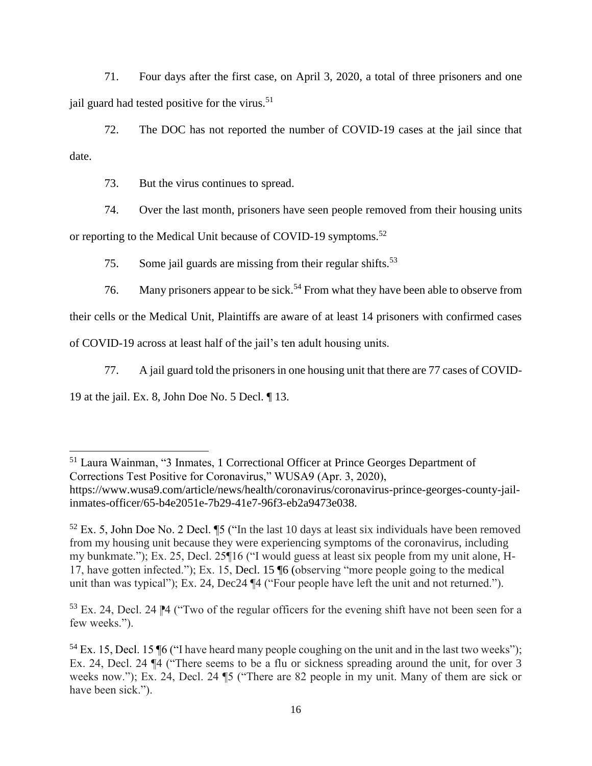71. Four days after the first case, on April 3, 2020, a total of three prisoners and one jail guard had tested positive for the virus.<sup>51</sup>

72. The DOC has not reported the number of COVID-19 cases at the jail since that date.

73. But the virus continues to spread.

74. Over the last month, prisoners have seen people removed from their housing units or reporting to the Medical Unit because of COVID-19 symptoms.<sup>52</sup>

75. Some jail guards are missing from their regular shifts.<sup>53</sup>

76. Many prisoners appear to be sick.<sup>54</sup> From what they have been able to observe from

their cells or the Medical Unit, Plaintiffs are aware of at least 14 prisoners with confirmed cases

of COVID-19 across at least half of the jail's ten adult housing units.

77. A jail guard told the prisoners in one housing unit that there are 77 cases of COVID-

19 at the jail. Ex. 8, John Doe No. 5 Decl. ¶ 13.

 $53$  Ex. 24, Decl. 24  $\blacktriangleright$ 4 ("Two of the regular officers for the evening shift have not been seen for a few weeks.").

<sup>51</sup> Laura Wainman, "3 Inmates, 1 Correctional Officer at Prince Georges Department of Corrections Test Positive for Coronavirus," WUSA9 (Apr. 3, 2020), https://www.wusa9.com/article/news/health/coronavirus/coronavirus-prince-georges-county-jailinmates-officer/65-b4e2051e-7b29-41e7-96f3-eb2a9473e038.

 $52$  Ex. 5, John Doe No. 2 Decl.  $\sqrt{5}$  ("In the last 10 days at least six individuals have been removed from my housing unit because they were experiencing symptoms of the coronavirus, including my bunkmate."); Ex. 25, Decl. 25¶16 ("I would guess at least six people from my unit alone, H-17, have gotten infected."); Ex. 15, Decl. 15 ¶6 (observing "more people going to the medical unit than was typical"); Ex. 24, Dec24 ¶4 ("Four people have left the unit and not returned.").

 $54$  Ex. 15, Decl. 15  $\P6$  ("I have heard many people coughing on the unit and in the last two weeks"); Ex. 24, Decl. 24 ¶4 ("There seems to be a flu or sickness spreading around the unit, for over 3 weeks now."); Ex. 24, Decl. 24 ¶5 ("There are 82 people in my unit. Many of them are sick or have been sick.").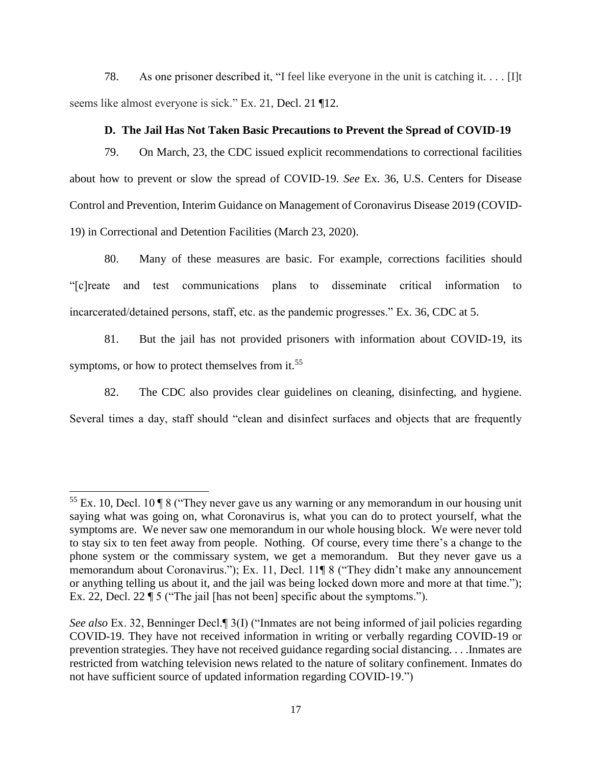78. As one prisoner described it, "I feel like everyone in the unit is catching it. . . . [I]t seems like almost everyone is sick." Ex. 21, Decl. 21 ¶12.

#### **D. The Jail Has Not Taken Basic Precautions to Prevent the Spread of COVID-19**

79. On March, 23, the CDC issued explicit recommendations to correctional facilities about how to prevent or slow the spread of COVID-19. *See* Ex. 36, U.S. Centers for Disease Control and Prevention, Interim Guidance on Management of Coronavirus Disease 2019 (COVID-19) in Correctional and Detention Facilities (March 23, 2020).

80. Many of these measures are basic. For example, corrections facilities should "[c]reate and test communications plans to disseminate critical information to incarcerated/detained persons, staff, etc. as the pandemic progresses." Ex. 36, CDC at 5.

81. But the jail has not provided prisoners with information about COVID-19, its symptoms, or how to protect themselves from it.<sup>55</sup>

82. The CDC also provides clear guidelines on cleaning, disinfecting, and hygiene.

Several times a day, staff should "clean and disinfect surfaces and objects that are frequently

<sup>&</sup>lt;sup>55</sup> Ex. 10, Decl. 10  $\sqrt{ }8$  ("They never gave us any warning or any memorandum in our housing unit saying what was going on, what Coronavirus is, what you can do to protect yourself, what the symptoms are. We never saw one memorandum in our whole housing block. We were never told to stay six to ten feet away from people. Nothing. Of course, every time there's a change to the phone system or the commissary system, we get a memorandum. But they never gave us a memorandum about Coronavirus."); Ex. 11, Decl. 11¶ 8 ("They didn't make any announcement or anything telling us about it, and the jail was being locked down more and more at that time."); Ex. 22, Decl. 22 ¶ 5 ("The jail [has not been] specific about the symptoms.").

*See also* Ex. 32, Benninger Decl.¶ 3(I) ("Inmates are not being informed of jail policies regarding COVID-19. They have not received information in writing or verbally regarding COVID-19 or prevention strategies. They have not received guidance regarding social distancing. . . .Inmates are restricted from watching television news related to the nature of solitary confinement. Inmates do not have sufficient source of updated information regarding COVID-19.")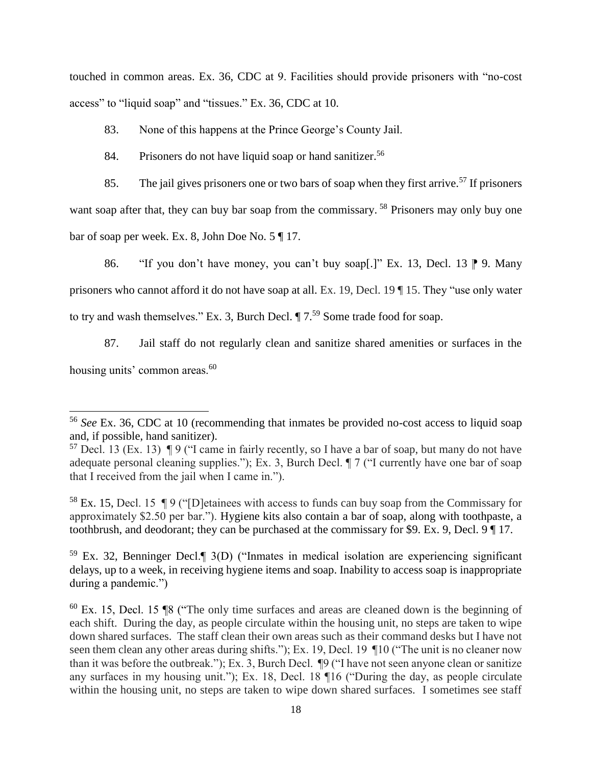touched in common areas. Ex. 36, CDC at 9. Facilities should provide prisoners with "no-cost access" to "liquid soap" and "tissues." Ex. 36, CDC at 10.

83. None of this happens at the Prince George's County Jail.

84. Prisoners do not have liquid soap or hand sanitizer.<sup>56</sup>

85. The jail gives prisoners one or two bars of soap when they first arrive.<sup>57</sup> If prisoners want soap after that, they can buy bar soap from the commissary.<sup>58</sup> Prisoners may only buy one bar of soap per week. Ex. 8, John Doe No. 5 ¶ 17.

86. "If you don't have money, you can't buy soap[.]" Ex. 13, Decl. 13  $\mathbb{P}$  9. Many prisoners who cannot afford it do not have soap at all. Ex. 19, Decl. 19 ¶ 15. They "use only water to try and wash themselves." Ex. 3, Burch Decl.  $\P$  7.<sup>59</sup> Some trade food for soap.

87. Jail staff do not regularly clean and sanitize shared amenities or surfaces in the housing units' common areas.<sup>60</sup>

<sup>58</sup> Ex. 15, Decl. 15  $\P$  9 ("D etainees with access to funds can buy soap from the Commissary for approximately \$2.50 per bar."). Hygiene kits also contain a bar of soap, along with toothpaste, a toothbrush, and deodorant; they can be purchased at the commissary for \$9. Ex. 9, Decl. 9 ¶ 17.

<sup>59</sup> Ex. 32, Benninger Decl.¶ 3(D) ("Inmates in medical isolation are experiencing significant delays, up to a week, in receiving hygiene items and soap. Inability to access soap is inappropriate during a pandemic.")

 $60$  Ex. 15, Decl. 15  $$8$  ("The only time surfaces and areas are cleaned down is the beginning of each shift. During the day, as people circulate within the housing unit, no steps are taken to wipe down shared surfaces. The staff clean their own areas such as their command desks but I have not seen them clean any other areas during shifts."); Ex. 19, Decl. 19  $\P$ 10 ("The unit is no cleaner now than it was before the outbreak."); Ex. 3, Burch Decl. ¶9 ("I have not seen anyone clean or sanitize any surfaces in my housing unit."); Ex. 18, Decl. 18 ¶16 ("During the day, as people circulate within the housing unit, no steps are taken to wipe down shared surfaces. I sometimes see staff

<sup>56</sup> *See* Ex. 36, CDC at 10 (recommending that inmates be provided no-cost access to liquid soap and, if possible, hand sanitizer).

 $57$  Decl. 13 (Ex. 13) ¶ 9 ("I came in fairly recently, so I have a bar of soap, but many do not have adequate personal cleaning supplies."); Ex. 3, Burch Decl. ¶ 7 ("I currently have one bar of soap that I received from the jail when I came in.").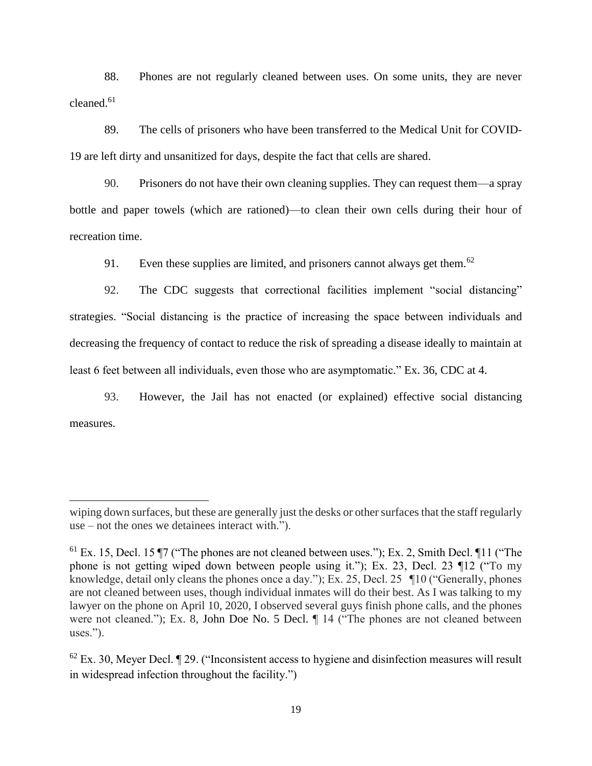88. Phones are not regularly cleaned between uses. On some units, they are never cleaned. $61$ 

89. The cells of prisoners who have been transferred to the Medical Unit for COVID-19 are left dirty and unsanitized for days, despite the fact that cells are shared.

90. Prisoners do not have their own cleaning supplies. They can request them—a spray bottle and paper towels (which are rationed)—to clean their own cells during their hour of recreation time.

91. Even these supplies are limited, and prisoners cannot always get them.<sup>62</sup>

92. The CDC suggests that correctional facilities implement "social distancing" strategies. "Social distancing is the practice of increasing the space between individuals and decreasing the frequency of contact to reduce the risk of spreading a disease ideally to maintain at least 6 feet between all individuals, even those who are asymptomatic." Ex. 36, CDC at 4.

93. However, the Jail has not enacted (or explained) effective social distancing measures.

wiping down surfaces, but these are generally just the desks or other surfaces that the staff regularly use – not the ones we detainees interact with.").

<sup>&</sup>lt;sup>61</sup> Ex. 15, Decl. 15  $\P$ 7 ("The phones are not cleaned between uses."); Ex. 2, Smith Decl.  $\P$ 11 ("The phone is not getting wiped down between people using it."); Ex. 23, Decl. 23 ¶12 ("To my knowledge, detail only cleans the phones once a day."); Ex. 25, Decl. 25 ¶10 ("Generally, phones are not cleaned between uses, though individual inmates will do their best. As I was talking to my lawyer on the phone on April 10, 2020, I observed several guys finish phone calls, and the phones were not cleaned."); Ex. 8, John Doe No. 5 Decl. ¶ 14 ("The phones are not cleaned between uses.").

 $62$  Ex. 30, Meyer Decl.  $\llbracket 29$ . ("Inconsistent access to hygiene and disinfection measures will result in widespread infection throughout the facility.")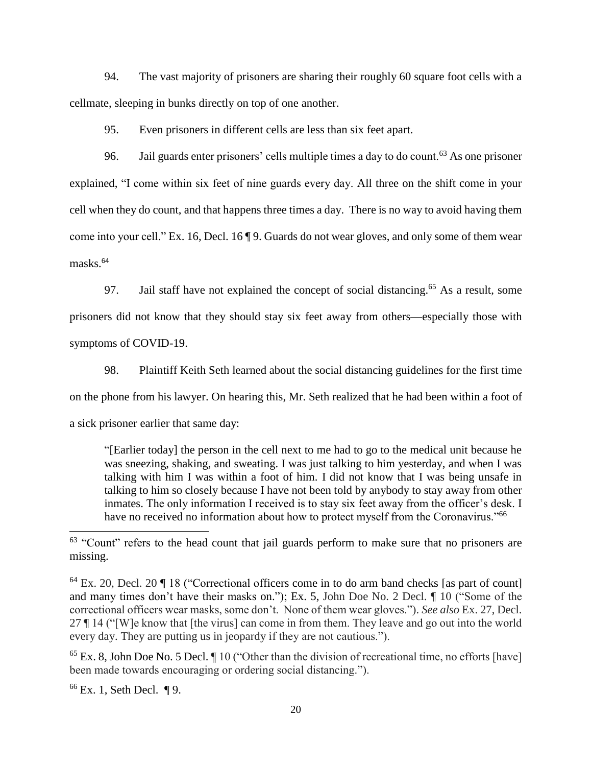94. The vast majority of prisoners are sharing their roughly 60 square foot cells with a cellmate, sleeping in bunks directly on top of one another.

95. Even prisoners in different cells are less than six feet apart.

96. Jail guards enter prisoners' cells multiple times a day to do count.<sup>63</sup> As one prisoner explained, "I come within six feet of nine guards every day. All three on the shift come in your cell when they do count, and that happens three times a day. There is no way to avoid having them come into your cell." Ex. 16, Decl. 16 ¶ 9. Guards do not wear gloves, and only some of them wear masks.<sup>64</sup>

97. Jail staff have not explained the concept of social distancing.<sup>65</sup> As a result, some prisoners did not know that they should stay six feet away from others—especially those with symptoms of COVID-19.

98. Plaintiff Keith Seth learned about the social distancing guidelines for the first time on the phone from his lawyer. On hearing this, Mr. Seth realized that he had been within a foot of a sick prisoner earlier that same day:

"[Earlier today] the person in the cell next to me had to go to the medical unit because he was sneezing, shaking, and sweating. I was just talking to him yesterday, and when I was talking with him I was within a foot of him. I did not know that I was being unsafe in talking to him so closely because I have not been told by anybody to stay away from other inmates. The only information I received is to stay six feet away from the officer's desk. I have no received no information about how to protect myself from the Coronavirus."<sup>66</sup>

<sup>65</sup> Ex. 8, John Doe No. 5 Decl. ¶ 10 ("Other than the division of recreational time, no efforts [have] been made towards encouraging or ordering social distancing.").

 $66$  Ex. 1, Seth Decl. ¶ 9.

<sup>&</sup>lt;sup>63</sup> "Count" refers to the head count that jail guards perform to make sure that no prisoners are missing.

<sup>64</sup> Ex. 20, Decl. 20 ¶ 18 ("Correctional officers come in to do arm band checks [as part of count] and many times don't have their masks on."); Ex. 5, John Doe No. 2 Decl. ¶ 10 ("Some of the correctional officers wear masks, some don't. None of them wear gloves."). *See also* Ex. 27, Decl. 27 ¶ 14 ("[W]e know that [the virus] can come in from them. They leave and go out into the world every day. They are putting us in jeopardy if they are not cautious.").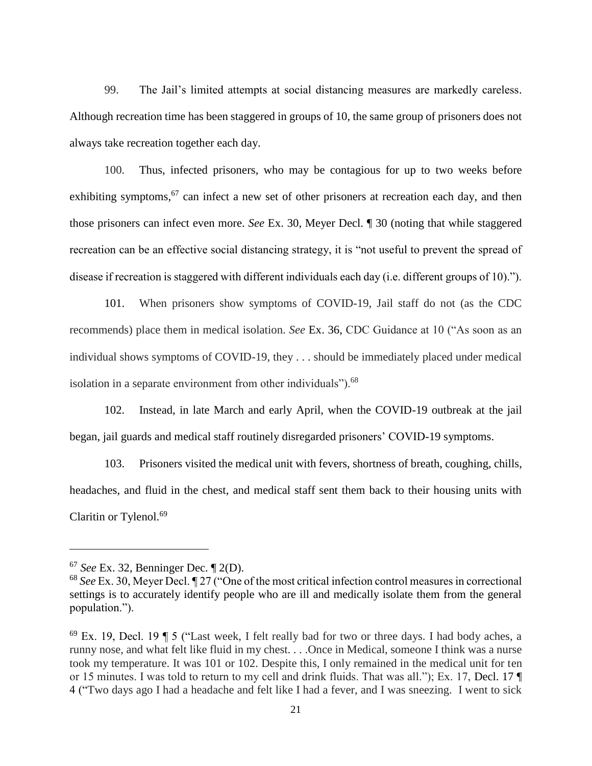99. The Jail's limited attempts at social distancing measures are markedly careless. Although recreation time has been staggered in groups of 10, the same group of prisoners does not always take recreation together each day.

100. Thus, infected prisoners, who may be contagious for up to two weeks before exhibiting symptoms,<sup>67</sup> can infect a new set of other prisoners at recreation each day, and then those prisoners can infect even more. *See* Ex. 30, Meyer Decl. ¶ 30 (noting that while staggered recreation can be an effective social distancing strategy, it is "not useful to prevent the spread of disease if recreation is staggered with different individuals each day (i.e. different groups of 10).").

101. When prisoners show symptoms of COVID-19, Jail staff do not (as the CDC recommends) place them in medical isolation. *See* Ex. 36, CDC Guidance at 10 ("As soon as an individual shows symptoms of COVID-19, they . . . should be immediately placed under medical isolation in a separate environment from other individuals").<sup>68</sup>

102. Instead, in late March and early April, when the COVID-19 outbreak at the jail began, jail guards and medical staff routinely disregarded prisoners' COVID-19 symptoms.

103. Prisoners visited the medical unit with fevers, shortness of breath, coughing, chills, headaches, and fluid in the chest, and medical staff sent them back to their housing units with Claritin or Tylenol.<sup>69</sup>

<sup>67</sup> *See* Ex. 32, Benninger Dec. ¶ 2(D).

<sup>68</sup> *See* Ex. 30, Meyer Decl. ¶ 27 ("One of the most critical infection control measures in correctional settings is to accurately identify people who are ill and medically isolate them from the general population.").

 $69$  Ex. 19, Decl. 19  $\text{T}$  5 ("Last week, I felt really bad for two or three days. I had body aches, a runny nose, and what felt like fluid in my chest. . . .Once in Medical, someone I think was a nurse took my temperature. It was 101 or 102. Despite this, I only remained in the medical unit for ten or 15 minutes. I was told to return to my cell and drink fluids. That was all."); Ex. 17, Decl. 17 ¶ 4 ("Two days ago I had a headache and felt like I had a fever, and I was sneezing. I went to sick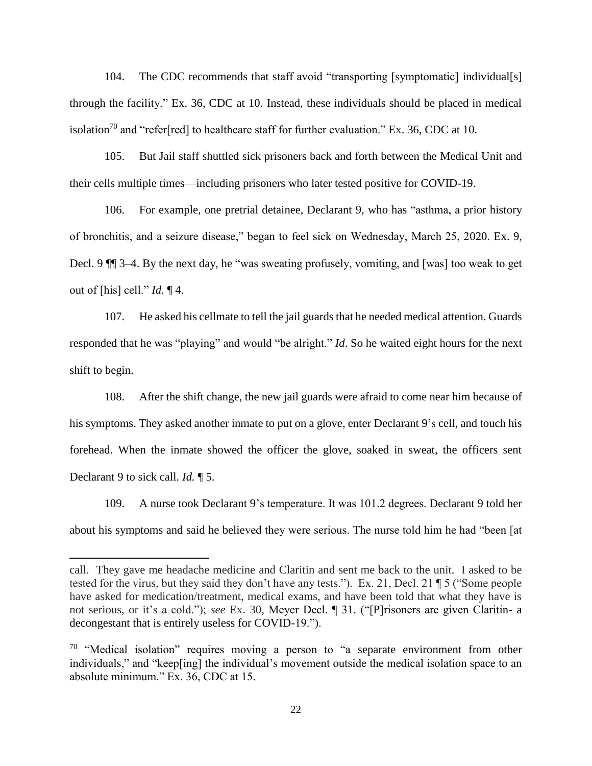104. The CDC recommends that staff avoid "transporting [symptomatic] individual[s] through the facility." Ex. 36, CDC at 10. Instead, these individuals should be placed in medical isolation<sup>70</sup> and "refer[red] to healthcare staff for further evaluation." Ex. 36, CDC at 10.

105. But Jail staff shuttled sick prisoners back and forth between the Medical Unit and their cells multiple times—including prisoners who later tested positive for COVID-19.

106. For example, one pretrial detainee, Declarant 9, who has "asthma, a prior history of bronchitis, and a seizure disease," began to feel sick on Wednesday, March 25, 2020. Ex. 9, Decl. 9 ¶¶ 3–4. By the next day, he "was sweating profusely, vomiting, and [was] too weak to get out of [his] cell." *Id*. ¶ 4.

107. He asked his cellmate to tell the jail guards that he needed medical attention. Guards responded that he was "playing" and would "be alright." *Id*. So he waited eight hours for the next shift to begin.

108. After the shift change, the new jail guards were afraid to come near him because of his symptoms. They asked another inmate to put on a glove, enter Declarant 9's cell, and touch his forehead. When the inmate showed the officer the glove, soaked in sweat, the officers sent Declarant 9 to sick call. *Id.* ¶ 5.

109. A nurse took Declarant 9's temperature. It was 101.2 degrees. Declarant 9 told her about his symptoms and said he believed they were serious. The nurse told him he had "been [at

call. They gave me headache medicine and Claritin and sent me back to the unit. I asked to be tested for the virus, but they said they don't have any tests."). Ex. 21, Decl. 21 ¶ 5 ("Some people have asked for medication/treatment, medical exams, and have been told that what they have is not serious, or it's a cold."); *see* Ex. 30, Meyer Decl. ¶ 31. ("[P]risoners are given Claritin- a decongestant that is entirely useless for COVID-19.").

 $70$  "Medical isolation" requires moving a person to "a separate environment from other individuals," and "keep[ing] the individual's movement outside the medical isolation space to an absolute minimum." Ex. 36, CDC at 15.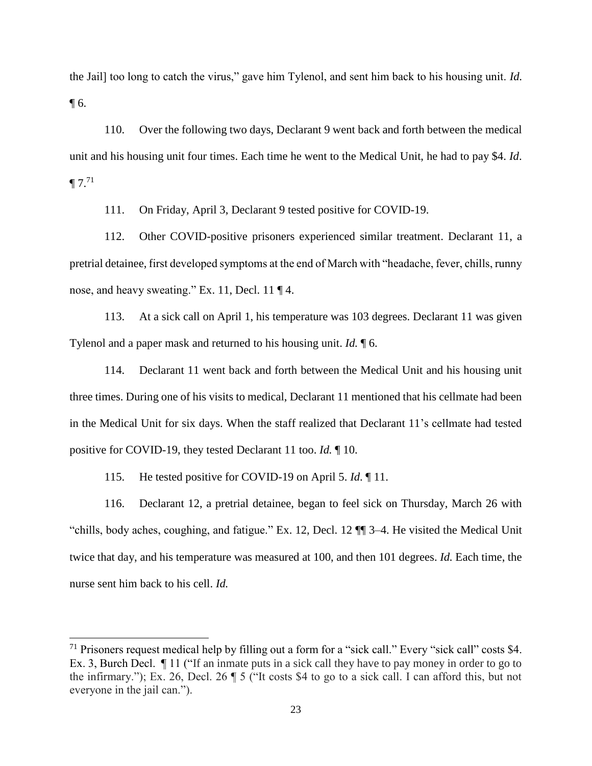the Jail] too long to catch the virus," gave him Tylenol, and sent him back to his housing unit. *Id*. ¶ 6.

110. Over the following two days, Declarant 9 went back and forth between the medical unit and his housing unit four times. Each time he went to the Medical Unit, he had to pay \$4. *Id*.  $\P 7.71$ 

111. On Friday, April 3, Declarant 9 tested positive for COVID-19.

112. Other COVID-positive prisoners experienced similar treatment. Declarant 11, a pretrial detainee, first developed symptoms at the end of March with "headache, fever, chills, runny nose, and heavy sweating." Ex. 11, Decl. 11 ¶ 4.

113. At a sick call on April 1, his temperature was 103 degrees. Declarant 11 was given Tylenol and a paper mask and returned to his housing unit. *Id.* ¶ 6.

114. Declarant 11 went back and forth between the Medical Unit and his housing unit three times. During one of his visits to medical, Declarant 11 mentioned that his cellmate had been in the Medical Unit for six days. When the staff realized that Declarant 11's cellmate had tested positive for COVID-19, they tested Declarant 11 too. *Id.* ¶ 10.

115. He tested positive for COVID-19 on April 5. *Id*. ¶ 11.

 $\overline{a}$ 

116. Declarant 12, a pretrial detainee, began to feel sick on Thursday, March 26 with "chills, body aches, coughing, and fatigue." Ex. 12, Decl. 12 ¶¶ 3–4. He visited the Medical Unit twice that day, and his temperature was measured at 100, and then 101 degrees. *Id.* Each time, the nurse sent him back to his cell. *Id.* 

<sup>&</sup>lt;sup>71</sup> Prisoners request medical help by filling out a form for a "sick call." Every "sick call" costs \$4. Ex. 3, Burch Decl.  $\P$  11 ("If an inmate puts in a sick call they have to pay money in order to go to the infirmary."); Ex. 26, Decl. 26 ¶ 5 ("It costs \$4 to go to a sick call. I can afford this, but not everyone in the jail can.").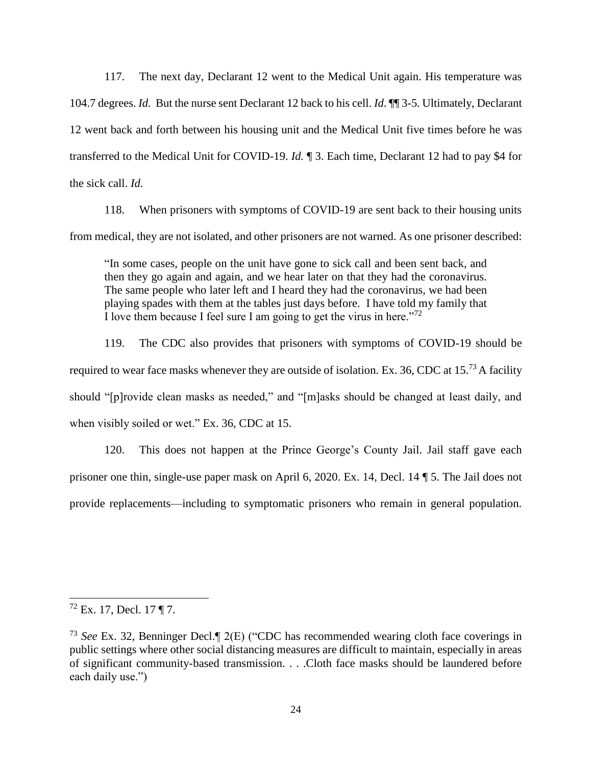117. The next day, Declarant 12 went to the Medical Unit again. His temperature was 104.7 degrees. *Id.* But the nurse sent Declarant 12 back to his cell. *Id*. ¶¶ 3-5. Ultimately, Declarant 12 went back and forth between his housing unit and the Medical Unit five times before he was transferred to the Medical Unit for COVID-19. *Id.* ¶ 3. Each time, Declarant 12 had to pay \$4 for the sick call. *Id.* 

118. When prisoners with symptoms of COVID-19 are sent back to their housing units from medical, they are not isolated, and other prisoners are not warned. As one prisoner described:

"In some cases, people on the unit have gone to sick call and been sent back, and then they go again and again, and we hear later on that they had the coronavirus. The same people who later left and I heard they had the coronavirus, we had been playing spades with them at the tables just days before. I have told my family that I love them because I feel sure I am going to get the virus in here."<sup>72</sup>

119. The CDC also provides that prisoners with symptoms of COVID-19 should be required to wear face masks whenever they are outside of isolation. Ex. 36, CDC at  $15^{73}$  A facility should "[p]rovide clean masks as needed," and "[m]asks should be changed at least daily, and when visibly soiled or wet." Ex. 36, CDC at 15.

120. This does not happen at the Prince George's County Jail. Jail staff gave each prisoner one thin, single-use paper mask on April 6, 2020. Ex. 14, Decl. 14 ¶ 5. The Jail does not provide replacements—including to symptomatic prisoners who remain in general population.

 $72$  Ex. 17, Decl. 17 ¶ 7.

<sup>73</sup> *See* Ex. 32, Benninger Decl.¶ 2(E) ("CDC has recommended wearing cloth face coverings in public settings where other social distancing measures are difficult to maintain, especially in areas of significant community-based transmission. . . .Cloth face masks should be laundered before each daily use.")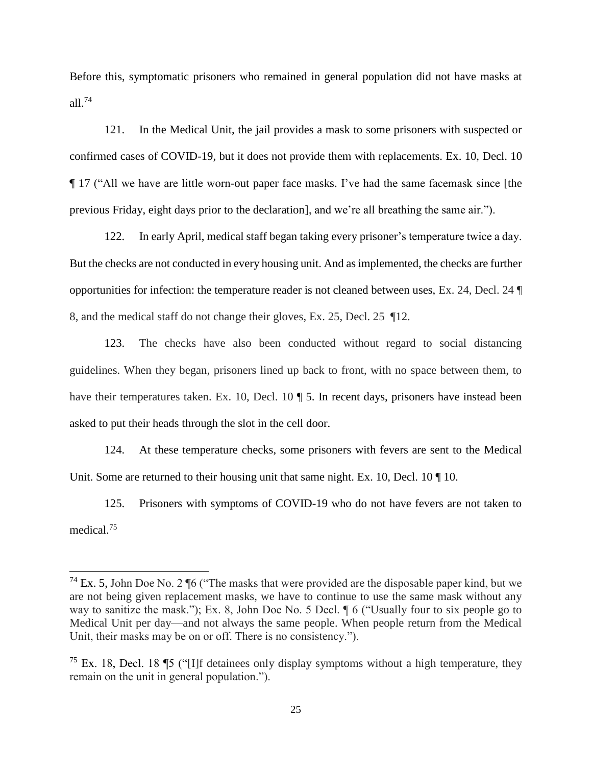Before this, symptomatic prisoners who remained in general population did not have masks at all.<sup>74</sup>

121. In the Medical Unit, the jail provides a mask to some prisoners with suspected or confirmed cases of COVID-19, but it does not provide them with replacements. Ex. 10, Decl. 10 ¶ 17 ("All we have are little worn-out paper face masks. I've had the same facemask since [the previous Friday, eight days prior to the declaration], and we're all breathing the same air.").

122. In early April, medical staff began taking every prisoner's temperature twice a day. But the checks are not conducted in every housing unit. And as implemented, the checks are further opportunities for infection: the temperature reader is not cleaned between uses, Ex. 24, Decl. 24 ¶ 8, and the medical staff do not change their gloves, Ex. 25, Decl. 25 ¶12.

123. The checks have also been conducted without regard to social distancing guidelines. When they began, prisoners lined up back to front, with no space between them, to have their temperatures taken. Ex. 10, Decl. 10 ¶ 5. In recent days, prisoners have instead been asked to put their heads through the slot in the cell door.

124. At these temperature checks, some prisoners with fevers are sent to the Medical Unit. Some are returned to their housing unit that same night. Ex. 10, Decl. 10  $\P$  10.

125. Prisoners with symptoms of COVID-19 who do not have fevers are not taken to medical.<sup>75</sup>

<sup>&</sup>lt;sup>74</sup> Ex. 5, John Doe No. 2  $\sqrt{6}$  ("The masks that were provided are the disposable paper kind, but we are not being given replacement masks, we have to continue to use the same mask without any way to sanitize the mask."); Ex. 8, John Doe No. 5 Decl. ¶ 6 ("Usually four to six people go to Medical Unit per day—and not always the same people. When people return from the Medical Unit, their masks may be on or off. There is no consistency.").

<sup>&</sup>lt;sup>75</sup> Ex. 18, Decl. 18 **15** ("I]f detainees only display symptoms without a high temperature, they remain on the unit in general population.").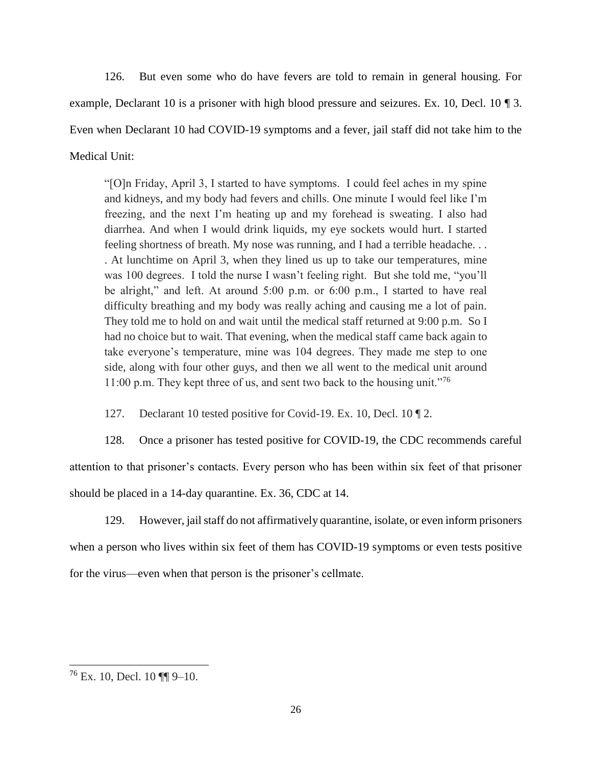126. But even some who do have fevers are told to remain in general housing. For example, Declarant 10 is a prisoner with high blood pressure and seizures. Ex. 10, Decl. 10 ¶ 3. Even when Declarant 10 had COVID-19 symptoms and a fever, jail staff did not take him to the Medical Unit:

"[O]n Friday, April 3, I started to have symptoms. I could feel aches in my spine and kidneys, and my body had fevers and chills. One minute I would feel like I'm freezing, and the next I'm heating up and my forehead is sweating. I also had diarrhea. And when I would drink liquids, my eye sockets would hurt. I started feeling shortness of breath. My nose was running, and I had a terrible headache. . . . At lunchtime on April 3, when they lined us up to take our temperatures, mine was 100 degrees. I told the nurse I wasn't feeling right. But she told me, "you'll be alright," and left. At around 5:00 p.m. or 6:00 p.m., I started to have real difficulty breathing and my body was really aching and causing me a lot of pain. They told me to hold on and wait until the medical staff returned at 9:00 p.m. So I had no choice but to wait. That evening, when the medical staff came back again to take everyone's temperature, mine was 104 degrees. They made me step to one side, along with four other guys, and then we all went to the medical unit around 11:00 p.m. They kept three of us, and sent two back to the housing unit."<sup>76</sup>

127. Declarant 10 tested positive for Covid-19. Ex. 10, Decl. 10 ¶ 2.

128. Once a prisoner has tested positive for COVID-19, the CDC recommends careful attention to that prisoner's contacts. Every person who has been within six feet of that prisoner should be placed in a 14-day quarantine. Ex. 36, CDC at 14.

129. However, jail staff do not affirmatively quarantine, isolate, or even inform prisoners when a person who lives within six feet of them has COVID-19 symptoms or even tests positive for the virus—even when that person is the prisoner's cellmate.

 $76$  Ex. 10, Decl. 10 [[[  $9-10$ .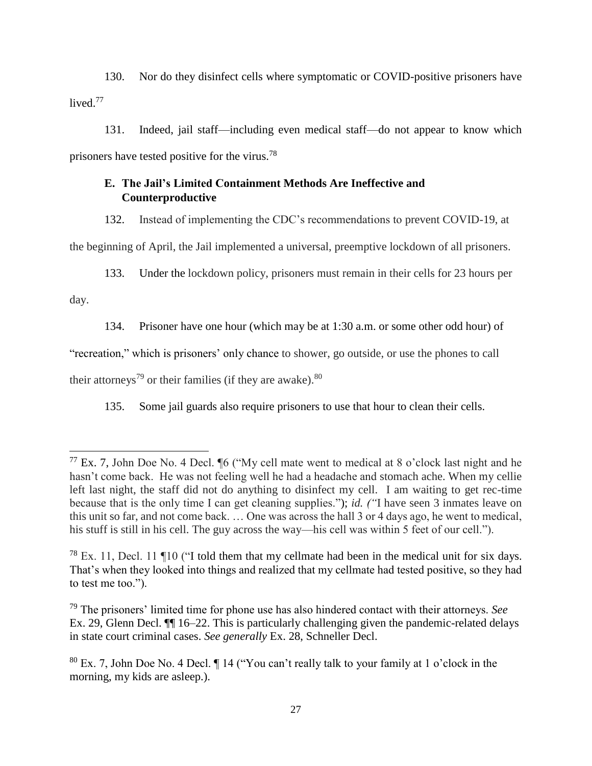130. Nor do they disinfect cells where symptomatic or COVID-positive prisoners have lived.<sup>77</sup>

131. Indeed, jail staff—including even medical staff—do not appear to know which prisoners have tested positive for the virus.<sup>78</sup>

# **E. The Jail's Limited Containment Methods Are Ineffective and Counterproductive**

132. Instead of implementing the CDC's recommendations to prevent COVID-19, at the beginning of April, the Jail implemented a universal, preemptive lockdown of all prisoners.

133. Under the lockdown policy, prisoners must remain in their cells for 23 hours per

day.

134. Prisoner have one hour (which may be at 1:30 a.m. or some other odd hour) of

"recreation," which is prisoners' only chance to shower, go outside, or use the phones to call

their attorneys<sup>79</sup> or their families (if they are awake).  $80$ 

135. Some jail guards also require prisoners to use that hour to clean their cells.

 $^{77}$  Ex. 7, John Doe No. 4 Decl.  $\%$  ("My cell mate went to medical at 8 o'clock last night and he hasn't come back. He was not feeling well he had a headache and stomach ache. When my cellie left last night, the staff did not do anything to disinfect my cell. I am waiting to get rec-time because that is the only time I can get cleaning supplies."); *id. ("*I have seen 3 inmates leave on this unit so far, and not come back. … One was across the hall 3 or 4 days ago, he went to medical, his stuff is still in his cell. The guy across the way—his cell was within 5 feet of our cell.").

 $^{78}$  Ex. 11, Decl. 11 ¶10 ("I told them that my cellmate had been in the medical unit for six days. That's when they looked into things and realized that my cellmate had tested positive, so they had to test me too.").

<sup>79</sup> The prisoners' limited time for phone use has also hindered contact with their attorneys. *See*  Ex. 29, Glenn Decl. ¶¶ 16–22. This is particularly challenging given the pandemic-related delays in state court criminal cases. *See generally* Ex. 28, Schneller Decl.

<sup>80</sup> Ex. 7, John Doe No. 4 Decl. ¶ 14 ("You can't really talk to your family at 1 o'clock in the morning, my kids are asleep.).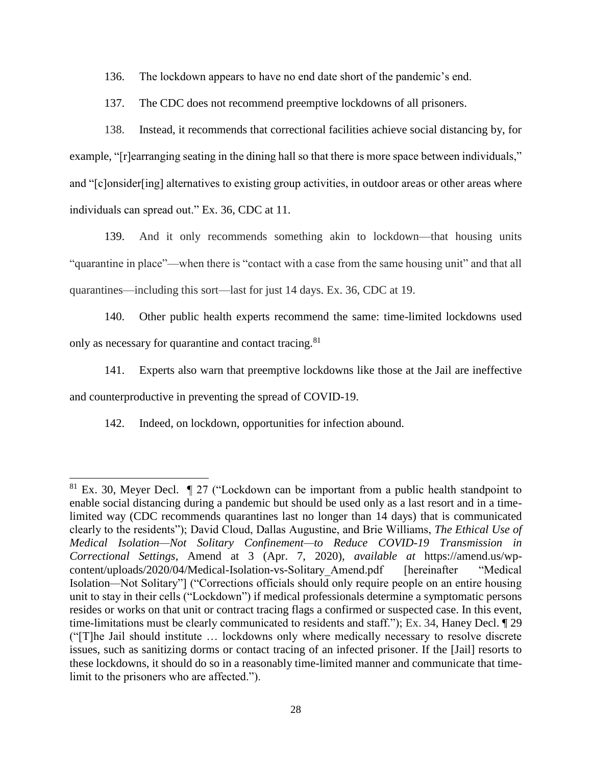136. The lockdown appears to have no end date short of the pandemic's end.

137. The CDC does not recommend preemptive lockdowns of all prisoners.

138. Instead, it recommends that correctional facilities achieve social distancing by, for example, "[r]earranging seating in the dining hall so that there is more space between individuals," and "[c]onsider[ing] alternatives to existing group activities, in outdoor areas or other areas where individuals can spread out." Ex. 36, CDC at 11.

139. And it only recommends something akin to lockdown—that housing units "quarantine in place"—when there is "contact with a case from the same housing unit" and that all quarantines—including this sort—last for just 14 days. Ex. 36, CDC at 19.

140. Other public health experts recommend the same: time-limited lockdowns used only as necessary for quarantine and contact tracing.<sup>81</sup>

141. Experts also warn that preemptive lockdowns like those at the Jail are ineffective and counterproductive in preventing the spread of COVID-19.

142. Indeed, on lockdown, opportunities for infection abound.

 $81$  Ex. 30, Meyer Decl.  $\parallel$  27 ("Lockdown can be important from a public health standpoint to enable social distancing during a pandemic but should be used only as a last resort and in a timelimited way (CDC recommends quarantines last no longer than 14 days) that is communicated clearly to the residents"); David Cloud, Dallas Augustine, and Brie Williams, *The Ethical Use of Medical Isolation—Not Solitary Confinement—to Reduce COVID-19 Transmission in Correctional Settings*, Amend at 3 (Apr. 7, 2020), *available at* https://amend.us/wpcontent/uploads/2020/04/Medical-Isolation-vs-Solitary\_Amend.pdf [hereinafter "Medical Isolation*—*Not Solitary"] ("Corrections officials should only require people on an entire housing unit to stay in their cells ("Lockdown") if medical professionals determine a symptomatic persons resides or works on that unit or contract tracing flags a confirmed or suspected case. In this event, time-limitations must be clearly communicated to residents and staff."); Ex. 34, Haney Decl. ¶ 29 ("[T]he Jail should institute … lockdowns only where medically necessary to resolve discrete issues, such as sanitizing dorms or contact tracing of an infected prisoner. If the [Jail] resorts to these lockdowns, it should do so in a reasonably time-limited manner and communicate that timelimit to the prisoners who are affected.").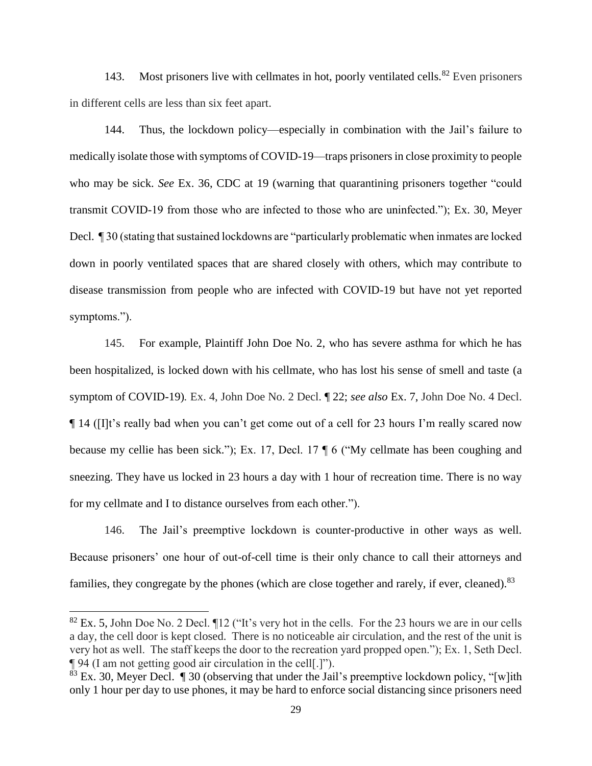143. Most prisoners live with cellmates in hot, poorly ventilated cells.<sup>82</sup> Even prisoners in different cells are less than six feet apart.

144. Thus, the lockdown policy—especially in combination with the Jail's failure to medically isolate those with symptoms of COVID-19—traps prisoners in close proximity to people who may be sick. *See* Ex. 36, CDC at 19 (warning that quarantining prisoners together "could transmit COVID-19 from those who are infected to those who are uninfected."); Ex. 30, Meyer Decl. ¶ 30 (stating that sustained lockdowns are "particularly problematic when inmates are locked down in poorly ventilated spaces that are shared closely with others, which may contribute to disease transmission from people who are infected with COVID-19 but have not yet reported symptoms.").

145. For example, Plaintiff John Doe No. 2, who has severe asthma for which he has been hospitalized, is locked down with his cellmate, who has lost his sense of smell and taste (a symptom of COVID-19)*.* Ex. 4, John Doe No. 2 Decl. ¶ 22; *see also* Ex. 7, John Doe No. 4 Decl. ¶ 14 ([I]t's really bad when you can't get come out of a cell for 23 hours I'm really scared now because my cellie has been sick."); Ex. 17, Decl. 17 ¶ 6 ("My cellmate has been coughing and sneezing. They have us locked in 23 hours a day with 1 hour of recreation time. There is no way for my cellmate and I to distance ourselves from each other.").

146. The Jail's preemptive lockdown is counter-productive in other ways as well. Because prisoners' one hour of out-of-cell time is their only chance to call their attorneys and families, they congregate by the phones (which are close together and rarely, if ever, cleaned).<sup>83</sup>

 $82$  Ex. 5, John Doe No. 2 Decl.  $\P$ 12 ("It's very hot in the cells. For the 23 hours we are in our cells a day, the cell door is kept closed. There is no noticeable air circulation, and the rest of the unit is very hot as well. The staff keeps the door to the recreation yard propped open."); Ex. 1, Seth Decl. ¶ 94 (I am not getting good air circulation in the cell[.]").

 $83$  Ex. 30, Meyer Decl.  $\blacksquare$  30 (observing that under the Jail's preemptive lockdown policy, "[w]ith only 1 hour per day to use phones, it may be hard to enforce social distancing since prisoners need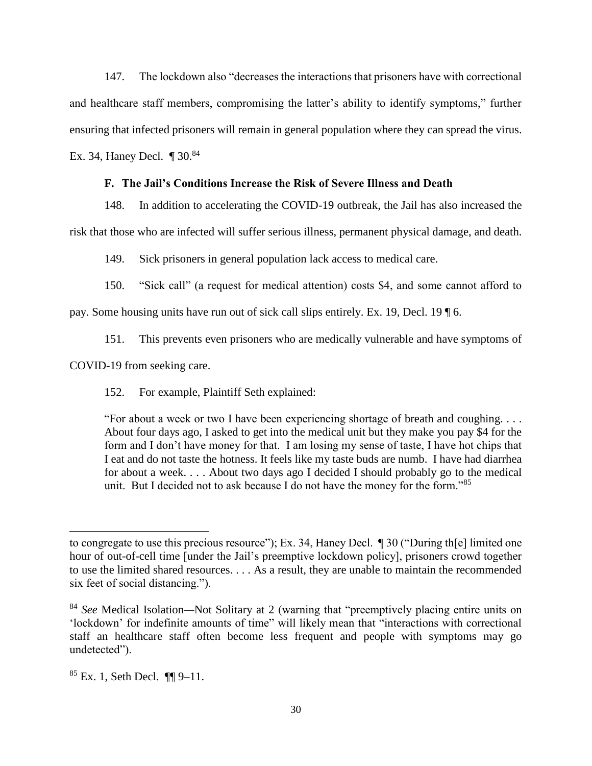147. The lockdown also "decreases the interactions that prisoners have with correctional and healthcare staff members, compromising the latter's ability to identify symptoms," further ensuring that infected prisoners will remain in general population where they can spread the virus.

Ex. 34, Haney Decl.  $\P$  30.<sup>84</sup>

## **F. The Jail's Conditions Increase the Risk of Severe Illness and Death**

148. In addition to accelerating the COVID-19 outbreak, the Jail has also increased the

risk that those who are infected will suffer serious illness, permanent physical damage, and death.

149. Sick prisoners in general population lack access to medical care.

150. "Sick call" (a request for medical attention) costs \$4, and some cannot afford to

pay. Some housing units have run out of sick call slips entirely. Ex. 19, Decl. 19 ¶ 6.

151. This prevents even prisoners who are medically vulnerable and have symptoms of

COVID-19 from seeking care.

152. For example, Plaintiff Seth explained:

"For about a week or two I have been experiencing shortage of breath and coughing. . . . About four days ago, I asked to get into the medical unit but they make you pay \$4 for the form and I don't have money for that. I am losing my sense of taste, I have hot chips that I eat and do not taste the hotness. It feels like my taste buds are numb. I have had diarrhea for about a week. . . . About two days ago I decided I should probably go to the medical unit. But I decided not to ask because I do not have the money for the form."<sup>85</sup>

to congregate to use this precious resource"); Ex. 34, Haney Decl. ¶ 30 ("During th[e] limited one hour of out-of-cell time [under the Jail's preemptive lockdown policy], prisoners crowd together to use the limited shared resources. . . . As a result, they are unable to maintain the recommended six feet of social distancing.").

<sup>84</sup> *See* Medical Isolation*—*Not Solitary at 2 (warning that "preemptively placing entire units on 'lockdown' for indefinite amounts of time" will likely mean that "interactions with correctional staff an healthcare staff often become less frequent and people with symptoms may go undetected").

 $85$  Ex. 1, Seth Decl.  $\P\P$ 9-11.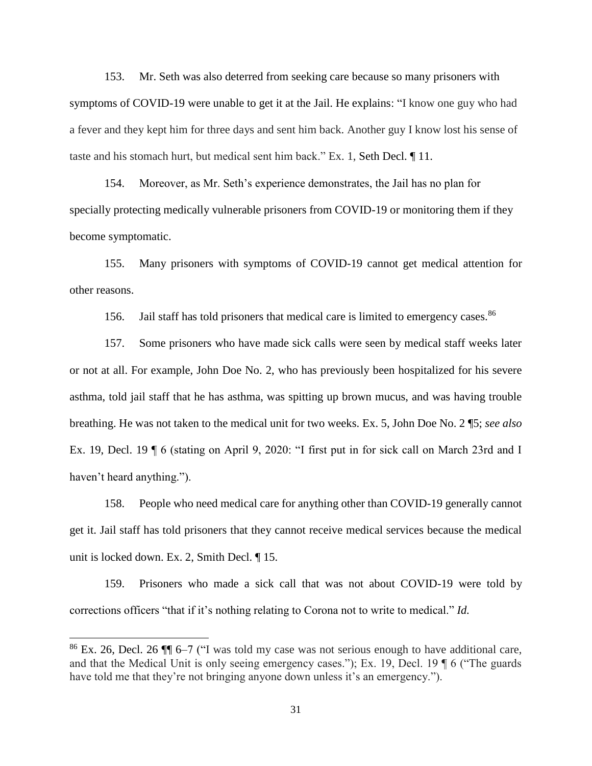153. Mr. Seth was also deterred from seeking care because so many prisoners with symptoms of COVID-19 were unable to get it at the Jail. He explains: "I know one guy who had a fever and they kept him for three days and sent him back. Another guy I know lost his sense of taste and his stomach hurt, but medical sent him back." Ex. 1, Seth Decl. ¶ 11.

154. Moreover, as Mr. Seth's experience demonstrates, the Jail has no plan for specially protecting medically vulnerable prisoners from COVID-19 or monitoring them if they become symptomatic.

155. Many prisoners with symptoms of COVID-19 cannot get medical attention for other reasons.

156. Jail staff has told prisoners that medical care is limited to emergency cases.<sup>86</sup>

157. Some prisoners who have made sick calls were seen by medical staff weeks later or not at all. For example, John Doe No. 2, who has previously been hospitalized for his severe asthma, told jail staff that he has asthma, was spitting up brown mucus, and was having trouble breathing. He was not taken to the medical unit for two weeks. Ex. 5, John Doe No. 2 ¶5; *see also* Ex. 19, Decl. 19 ¶ 6 (stating on April 9, 2020: "I first put in for sick call on March 23rd and I haven't heard anything.").

158. People who need medical care for anything other than COVID-19 generally cannot get it. Jail staff has told prisoners that they cannot receive medical services because the medical unit is locked down. Ex. 2, Smith Decl. ¶ 15.

159. Prisoners who made a sick call that was not about COVID-19 were told by corrections officers "that if it's nothing relating to Corona not to write to medical." *Id.*

<sup>86</sup> Ex. 26, Decl. 26 ¶¶ 6–7 ("I was told my case was not serious enough to have additional care, and that the Medical Unit is only seeing emergency cases."); Ex. 19, Decl. 19 ¶ 6 ("The guards have told me that they're not bringing anyone down unless it's an emergency.").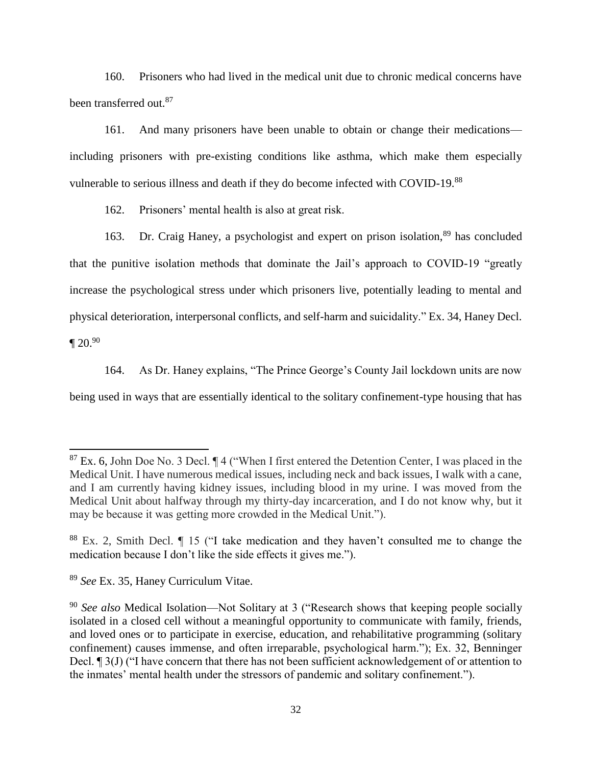160. Prisoners who had lived in the medical unit due to chronic medical concerns have been transferred out.<sup>87</sup>

161. And many prisoners have been unable to obtain or change their medications including prisoners with pre-existing conditions like asthma, which make them especially vulnerable to serious illness and death if they do become infected with COVID-19.<sup>88</sup>

162. Prisoners' mental health is also at great risk.

163. Dr. Craig Haney, a psychologist and expert on prison isolation,<sup>89</sup> has concluded that the punitive isolation methods that dominate the Jail's approach to COVID-19 "greatly increase the psychological stress under which prisoners live, potentially leading to mental and physical deterioration, interpersonal conflicts, and self-harm and suicidality." Ex. 34, Haney Decl.  $\P 20.90$ 

164. As Dr. Haney explains, "The Prince George's County Jail lockdown units are now being used in ways that are essentially identical to the solitary confinement-type housing that has

<sup>89</sup> *See* Ex. 35, Haney Curriculum Vitae.

 $87$  Ex. 6, John Doe No. 3 Decl.  $\P$  4 ("When I first entered the Detention Center, I was placed in the Medical Unit. I have numerous medical issues, including neck and back issues, I walk with a cane, and I am currently having kidney issues, including blood in my urine. I was moved from the Medical Unit about halfway through my thirty-day incarceration, and I do not know why, but it may be because it was getting more crowded in the Medical Unit.").

<sup>88</sup> Ex. 2, Smith Decl. ¶ 15 ("I take medication and they haven't consulted me to change the medication because I don't like the side effects it gives me.").

<sup>&</sup>lt;sup>90</sup> See also Medical Isolation—Not Solitary at 3 ("Research shows that keeping people socially isolated in a closed cell without a meaningful opportunity to communicate with family, friends, and loved ones or to participate in exercise, education, and rehabilitative programming (solitary confinement) causes immense, and often irreparable, psychological harm."); Ex. 32, Benninger Decl. ¶ 3(J) ("I have concern that there has not been sufficient acknowledgement of or attention to the inmates' mental health under the stressors of pandemic and solitary confinement.").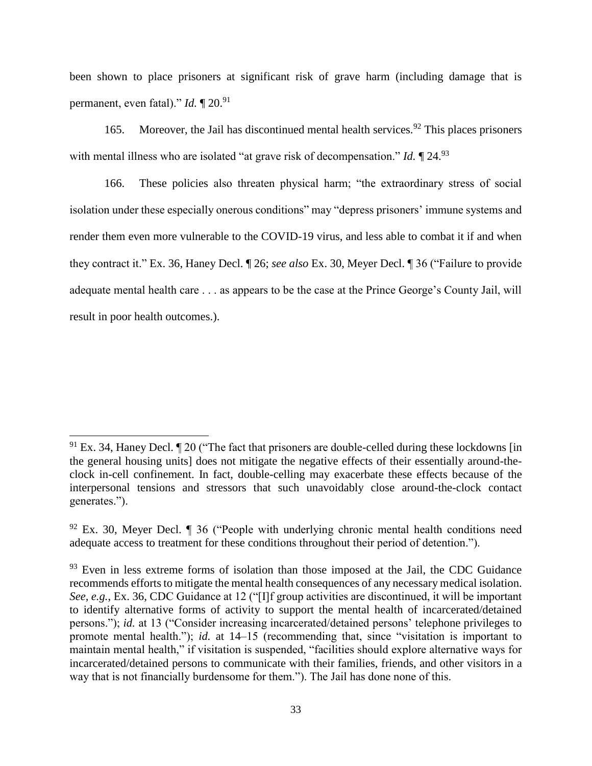been shown to place prisoners at significant risk of grave harm (including damage that is permanent, even fatal)." *Id.* 1 20.<sup>91</sup>

165. Moreover, the Jail has discontinued mental health services.  $92$  This places prisoners with mental illness who are isolated "at grave risk of decompensation." *Id.*  $\llbracket 24.93 \rrbracket$ 

166. These policies also threaten physical harm; "the extraordinary stress of social isolation under these especially onerous conditions" may "depress prisoners' immune systems and render them even more vulnerable to the COVID-19 virus, and less able to combat it if and when they contract it." Ex. 36, Haney Decl. ¶ 26; *see also* Ex. 30, Meyer Decl. ¶ 36 ("Failure to provide adequate mental health care . . . as appears to be the case at the Prince George's County Jail, will result in poor health outcomes.).

 $91$  Ex. 34, Haney Decl.  $\P$  20 ("The fact that prisoners are double-celled during these lockdowns [in] the general housing units] does not mitigate the negative effects of their essentially around-theclock in-cell confinement. In fact, double-celling may exacerbate these effects because of the interpersonal tensions and stressors that such unavoidably close around-the-clock contact generates.").

 $92$  Ex. 30, Meyer Decl.  $\parallel$  36 ("People with underlying chronic mental health conditions need adequate access to treatment for these conditions throughout their period of detention.").

 $93$  Even in less extreme forms of isolation than those imposed at the Jail, the CDC Guidance recommends efforts to mitigate the mental health consequences of any necessary medical isolation. *See, e.g.*, Ex. 36, CDC Guidance at 12 ("[I]f group activities are discontinued, it will be important to identify alternative forms of activity to support the mental health of incarcerated/detained persons."); *id.* at 13 ("Consider increasing incarcerated/detained persons' telephone privileges to promote mental health."); *id.* at 14–15 (recommending that, since "visitation is important to maintain mental health," if visitation is suspended, "facilities should explore alternative ways for incarcerated/detained persons to communicate with their families, friends, and other visitors in a way that is not financially burdensome for them."). The Jail has done none of this.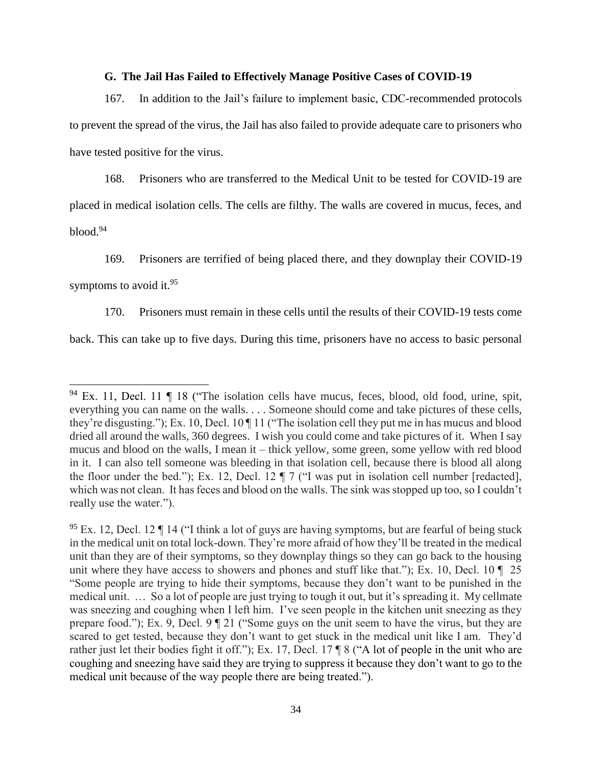#### **G. The Jail Has Failed to Effectively Manage Positive Cases of COVID-19**

167. In addition to the Jail's failure to implement basic, CDC-recommended protocols to prevent the spread of the virus, the Jail has also failed to provide adequate care to prisoners who have tested positive for the virus.

168. Prisoners who are transferred to the Medical Unit to be tested for COVID-19 are placed in medical isolation cells. The cells are filthy. The walls are covered in mucus, feces, and blood.<sup>94</sup>

169. Prisoners are terrified of being placed there, and they downplay their COVID-19

symptoms to avoid it.<sup>95</sup>

170. Prisoners must remain in these cells until the results of their COVID-19 tests come

back. This can take up to five days. During this time, prisoners have no access to basic personal

 $94$  Ex. 11, Decl. 11  $\parallel$  18 ("The isolation cells have mucus, feces, blood, old food, urine, spit, everything you can name on the walls. . . . Someone should come and take pictures of these cells, they're disgusting."); Ex. 10, Decl. 10 ¶ 11 ("The isolation cell they put me in has mucus and blood dried all around the walls, 360 degrees. I wish you could come and take pictures of it. When I say mucus and blood on the walls, I mean it – thick yellow, some green, some yellow with red blood in it. I can also tell someone was bleeding in that isolation cell, because there is blood all along the floor under the bed."); Ex. 12, Decl. 12 ¶ 7 ("I was put in isolation cell number [redacted], which was not clean. It has feces and blood on the walls. The sink was stopped up too, so I couldn't really use the water.").

 $95$  Ex. 12, Decl. 12  $\P$  14 ("I think a lot of guys are having symptoms, but are fearful of being stuck in the medical unit on total lock-down. They're more afraid of how they'll be treated in the medical unit than they are of their symptoms, so they downplay things so they can go back to the housing unit where they have access to showers and phones and stuff like that."); Ex. 10, Decl. 10  $\parallel$  25 "Some people are trying to hide their symptoms, because they don't want to be punished in the medical unit. … So a lot of people are just trying to tough it out, but it's spreading it. My cellmate was sneezing and coughing when I left him. I've seen people in the kitchen unit sneezing as they prepare food."); Ex. 9, Decl. 9 ¶ 21 ("Some guys on the unit seem to have the virus, but they are scared to get tested, because they don't want to get stuck in the medical unit like I am. They'd rather just let their bodies fight it off."); Ex. 17, Decl. 17 ¶ 8 ("A lot of people in the unit who are coughing and sneezing have said they are trying to suppress it because they don't want to go to the medical unit because of the way people there are being treated.").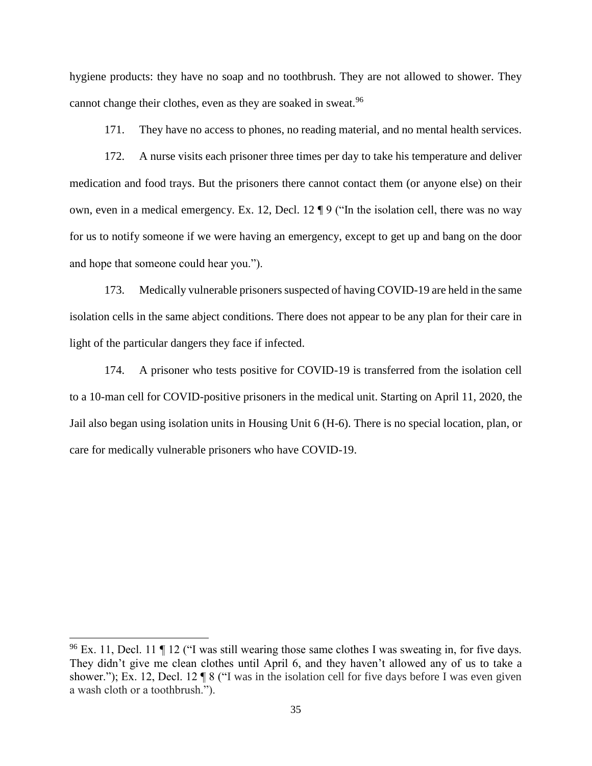hygiene products: they have no soap and no toothbrush. They are not allowed to shower. They cannot change their clothes, even as they are soaked in sweat.<sup>96</sup>

171. They have no access to phones, no reading material, and no mental health services.

172. A nurse visits each prisoner three times per day to take his temperature and deliver medication and food trays. But the prisoners there cannot contact them (or anyone else) on their own, even in a medical emergency. Ex. 12, Decl. 12 ¶ 9 ("In the isolation cell, there was no way for us to notify someone if we were having an emergency, except to get up and bang on the door and hope that someone could hear you.").

173. Medically vulnerable prisoners suspected of having COVID-19 are held in the same isolation cells in the same abject conditions. There does not appear to be any plan for their care in light of the particular dangers they face if infected.

174. A prisoner who tests positive for COVID-19 is transferred from the isolation cell to a 10-man cell for COVID-positive prisoners in the medical unit. Starting on April 11, 2020, the Jail also began using isolation units in Housing Unit 6 (H-6). There is no special location, plan, or care for medically vulnerable prisoners who have COVID-19.

 $96$  Ex. 11, Decl. 11  $\P$  12 ("I was still wearing those same clothes I was sweating in, for five days. They didn't give me clean clothes until April 6, and they haven't allowed any of us to take a shower."); Ex. 12, Decl. 12  $\P 8$  ("I was in the isolation cell for five days before I was even given a wash cloth or a toothbrush.").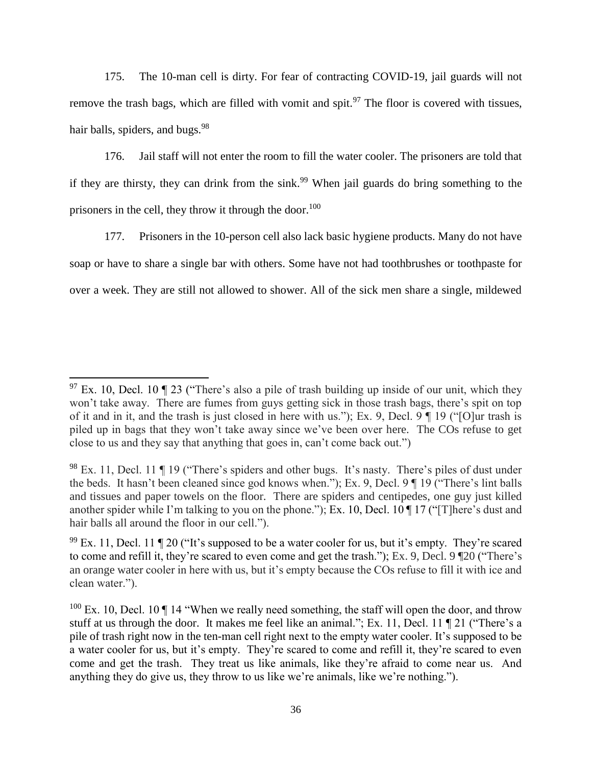175. The 10-man cell is dirty. For fear of contracting COVID-19, jail guards will not remove the trash bags, which are filled with vomit and spit.<sup>97</sup> The floor is covered with tissues, hair balls, spiders, and bugs.<sup>98</sup>

176. Jail staff will not enter the room to fill the water cooler. The prisoners are told that if they are thirsty, they can drink from the sink.<sup>99</sup> When jail guards do bring something to the prisoners in the cell, they throw it through the door.<sup>100</sup>

177. Prisoners in the 10-person cell also lack basic hygiene products. Many do not have soap or have to share a single bar with others. Some have not had toothbrushes or toothpaste for over a week. They are still not allowed to shower. All of the sick men share a single, mildewed

 $97$  Ex. 10, Decl. 10 ¶ 23 ("There's also a pile of trash building up inside of our unit, which they won't take away. There are fumes from guys getting sick in those trash bags, there's spit on top of it and in it, and the trash is just closed in here with us."); Ex. 9, Decl. 9 ¶ 19 ("[O]ur trash is piled up in bags that they won't take away since we've been over here. The COs refuse to get close to us and they say that anything that goes in, can't come back out.")

 $98$  Ex. 11, Decl. 11  $\P$  19 ("There's spiders and other bugs. It's nasty. There's piles of dust under the beds. It hasn't been cleaned since god knows when."); Ex. 9, Decl. 9 ¶ 19 ("There's lint balls and tissues and paper towels on the floor. There are spiders and centipedes, one guy just killed another spider while I'm talking to you on the phone."); Ex. 10, Decl. 10 ¶ 17 ("[T]here's dust and hair balls all around the floor in our cell.").

 $99$  Ex. 11, Decl. 11 ¶ 20 ("It's supposed to be a water cooler for us, but it's empty. They're scared to come and refill it, they're scared to even come and get the trash."); Ex. 9, Decl. 9 ¶20 ("There's an orange water cooler in here with us, but it's empty because the COs refuse to fill it with ice and clean water.").

 $100$  Ex. 10, Decl. 10  $\P$  14 "When we really need something, the staff will open the door, and throw stuff at us through the door. It makes me feel like an animal."; Ex. 11, Decl. 11 ¶ 21 ("There's a pile of trash right now in the ten-man cell right next to the empty water cooler. It's supposed to be a water cooler for us, but it's empty. They're scared to come and refill it, they're scared to even come and get the trash. They treat us like animals, like they're afraid to come near us. And anything they do give us, they throw to us like we're animals, like we're nothing.").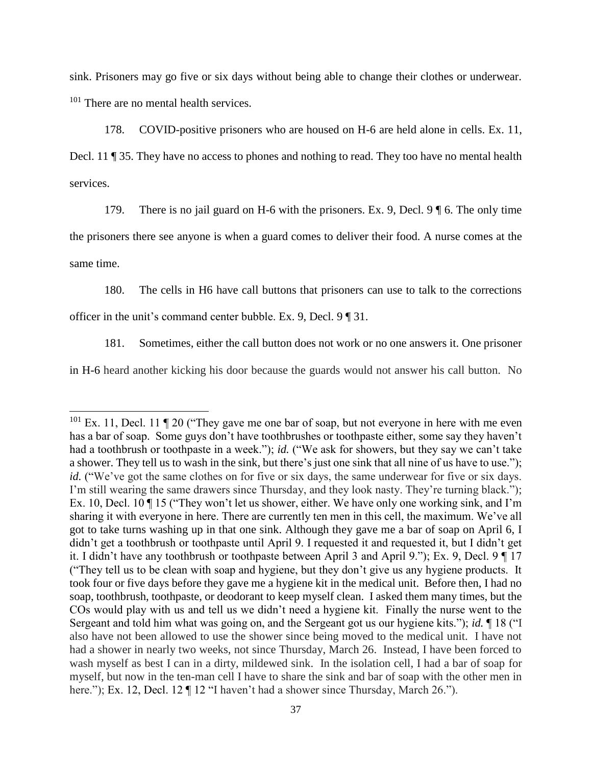sink. Prisoners may go five or six days without being able to change their clothes or underwear. <sup>101</sup> There are no mental health services.

178. COVID-positive prisoners who are housed on H-6 are held alone in cells. Ex. 11,

Decl. 11 ¶ 35. They have no access to phones and nothing to read. They too have no mental health services.

179. There is no jail guard on H-6 with the prisoners. Ex. 9, Decl. 9  $\parallel$  6. The only time

the prisoners there see anyone is when a guard comes to deliver their food. A nurse comes at the same time.

180. The cells in H6 have call buttons that prisoners can use to talk to the corrections

officer in the unit's command center bubble. Ex. 9, Decl. 9 ¶ 31.

181. Sometimes, either the call button does not work or no one answers it. One prisoner

in H-6 heard another kicking his door because the guards would not answer his call button. No

<sup>&</sup>lt;sup>101</sup> Ex. 11, Decl. 11  $\P$  20 ("They gave me one bar of soap, but not everyone in here with me even has a bar of soap. Some guys don't have toothbrushes or toothpaste either, some say they haven't had a toothbrush or toothpaste in a week."); *id.* ("We ask for showers, but they say we can't take a shower. They tell us to wash in the sink, but there's just one sink that all nine of us have to use."); *id.* ("We've got the same clothes on for five or six days, the same underwear for five or six days. I'm still wearing the same drawers since Thursday, and they look nasty. They're turning black."); Ex. 10, Decl. 10 ¶ 15 ("They won't let us shower, either. We have only one working sink, and I'm sharing it with everyone in here. There are currently ten men in this cell, the maximum. We've all got to take turns washing up in that one sink. Although they gave me a bar of soap on April 6, I didn't get a toothbrush or toothpaste until April 9. I requested it and requested it, but I didn't get it. I didn't have any toothbrush or toothpaste between April 3 and April 9."); Ex. 9, Decl. 9 ¶ 17 ("They tell us to be clean with soap and hygiene, but they don't give us any hygiene products. It took four or five days before they gave me a hygiene kit in the medical unit. Before then, I had no soap, toothbrush, toothpaste, or deodorant to keep myself clean. I asked them many times, but the COs would play with us and tell us we didn't need a hygiene kit. Finally the nurse went to the Sergeant and told him what was going on, and the Sergeant got us our hygiene kits."); *id.* ¶ 18 ("I also have not been allowed to use the shower since being moved to the medical unit. I have not had a shower in nearly two weeks, not since Thursday, March 26. Instead, I have been forced to wash myself as best I can in a dirty, mildewed sink. In the isolation cell, I had a bar of soap for myself, but now in the ten-man cell I have to share the sink and bar of soap with the other men in here."); Ex. 12, Decl. 12  $\P$  12 "I haven't had a shower since Thursday, March 26.").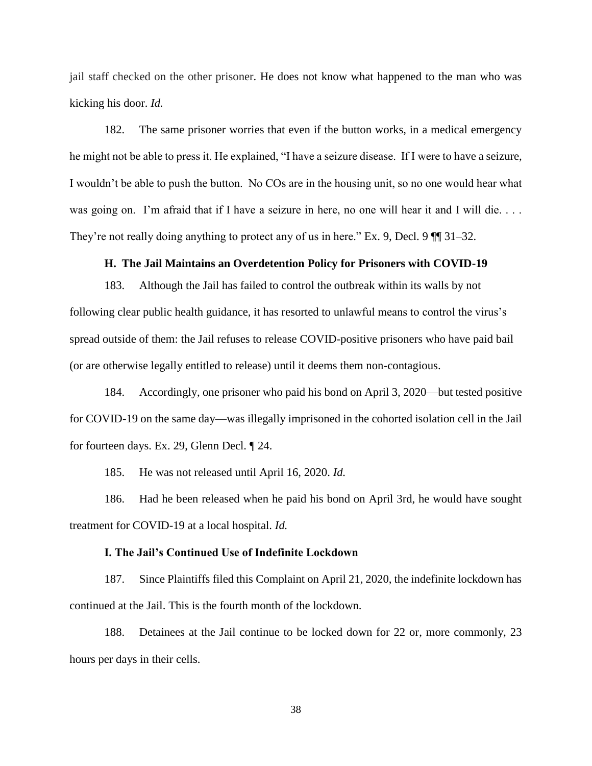jail staff checked on the other prisoner. He does not know what happened to the man who was kicking his door. *Id.* 

182. The same prisoner worries that even if the button works, in a medical emergency he might not be able to press it. He explained, "I have a seizure disease. If I were to have a seizure, I wouldn't be able to push the button. No COs are in the housing unit, so no one would hear what was going on. I'm afraid that if I have a seizure in here, no one will hear it and I will die.... They're not really doing anything to protect any of us in here." Ex. 9, Decl. 9  $\P$  31–32.

#### **H. The Jail Maintains an Overdetention Policy for Prisoners with COVID-19**

183. Although the Jail has failed to control the outbreak within its walls by not following clear public health guidance, it has resorted to unlawful means to control the virus's spread outside of them: the Jail refuses to release COVID-positive prisoners who have paid bail (or are otherwise legally entitled to release) until it deems them non-contagious.

184. Accordingly, one prisoner who paid his bond on April 3, 2020—but tested positive for COVID-19 on the same day—was illegally imprisoned in the cohorted isolation cell in the Jail for fourteen days. Ex. 29, Glenn Decl. ¶ 24.

185. He was not released until April 16, 2020. *Id.* 

186. Had he been released when he paid his bond on April 3rd, he would have sought treatment for COVID-19 at a local hospital. *Id.* 

#### **I. The Jail's Continued Use of Indefinite Lockdown**

187. Since Plaintiffs filed this Complaint on April 21, 2020, the indefinite lockdown has continued at the Jail. This is the fourth month of the lockdown.

188. Detainees at the Jail continue to be locked down for 22 or, more commonly, 23 hours per days in their cells.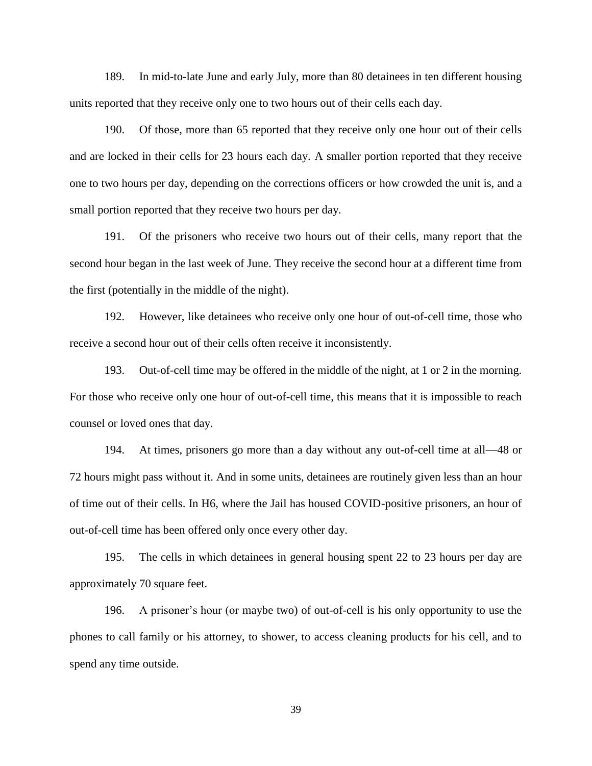189. In mid-to-late June and early July, more than 80 detainees in ten different housing units reported that they receive only one to two hours out of their cells each day.

190. Of those, more than 65 reported that they receive only one hour out of their cells and are locked in their cells for 23 hours each day. A smaller portion reported that they receive one to two hours per day, depending on the corrections officers or how crowded the unit is, and a small portion reported that they receive two hours per day.

191. Of the prisoners who receive two hours out of their cells, many report that the second hour began in the last week of June. They receive the second hour at a different time from the first (potentially in the middle of the night).

192. However, like detainees who receive only one hour of out-of-cell time, those who receive a second hour out of their cells often receive it inconsistently.

193. Out-of-cell time may be offered in the middle of the night, at 1 or 2 in the morning. For those who receive only one hour of out-of-cell time, this means that it is impossible to reach counsel or loved ones that day.

194. At times, prisoners go more than a day without any out-of-cell time at all—48 or 72 hours might pass without it. And in some units, detainees are routinely given less than an hour of time out of their cells. In H6, where the Jail has housed COVID-positive prisoners, an hour of out-of-cell time has been offered only once every other day.

195. The cells in which detainees in general housing spent 22 to 23 hours per day are approximately 70 square feet.

196. A prisoner's hour (or maybe two) of out-of-cell is his only opportunity to use the phones to call family or his attorney, to shower, to access cleaning products for his cell, and to spend any time outside.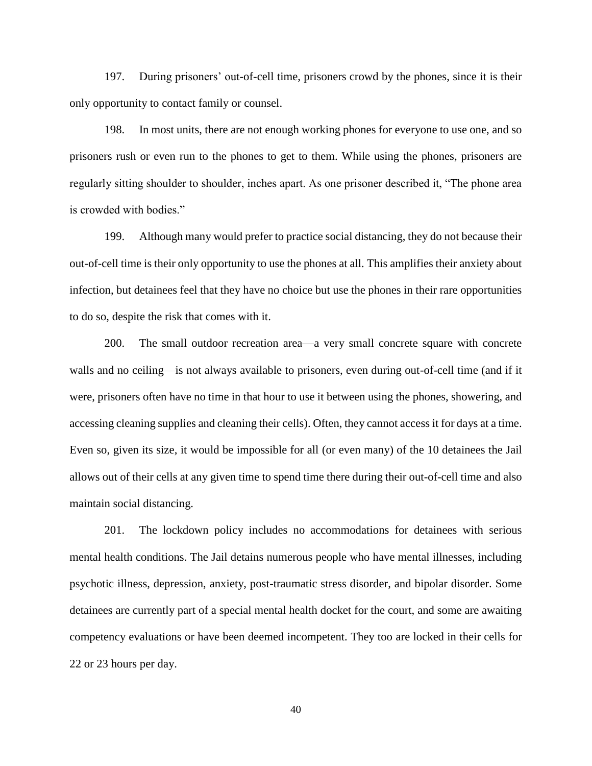197. During prisoners' out-of-cell time, prisoners crowd by the phones, since it is their only opportunity to contact family or counsel.

198. In most units, there are not enough working phones for everyone to use one, and so prisoners rush or even run to the phones to get to them. While using the phones, prisoners are regularly sitting shoulder to shoulder, inches apart. As one prisoner described it, "The phone area is crowded with bodies."

199. Although many would prefer to practice social distancing, they do not because their out-of-cell time is their only opportunity to use the phones at all. This amplifies their anxiety about infection, but detainees feel that they have no choice but use the phones in their rare opportunities to do so, despite the risk that comes with it.

200. The small outdoor recreation area—a very small concrete square with concrete walls and no ceiling—is not always available to prisoners, even during out-of-cell time (and if it were, prisoners often have no time in that hour to use it between using the phones, showering, and accessing cleaning supplies and cleaning their cells). Often, they cannot access it for days at a time. Even so, given its size, it would be impossible for all (or even many) of the 10 detainees the Jail allows out of their cells at any given time to spend time there during their out-of-cell time and also maintain social distancing.

201. The lockdown policy includes no accommodations for detainees with serious mental health conditions. The Jail detains numerous people who have mental illnesses, including psychotic illness, depression, anxiety, post-traumatic stress disorder, and bipolar disorder. Some detainees are currently part of a special mental health docket for the court, and some are awaiting competency evaluations or have been deemed incompetent. They too are locked in their cells for 22 or 23 hours per day.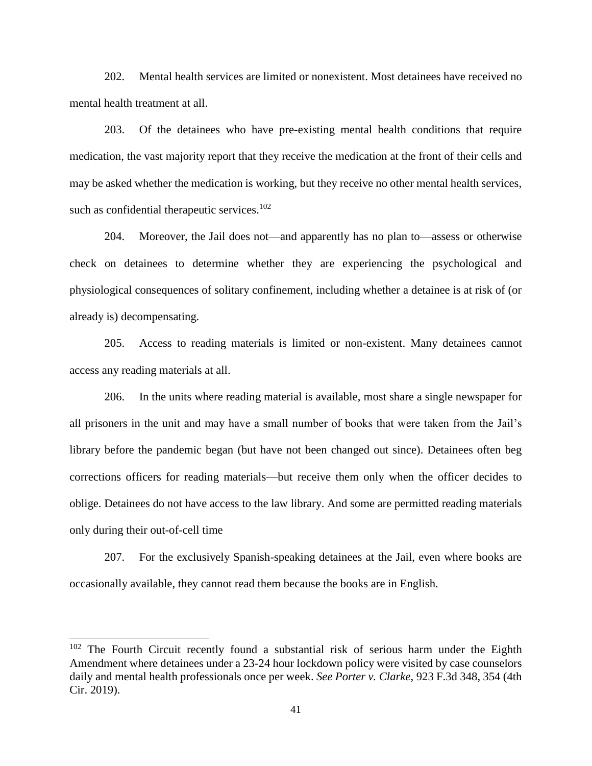202. Mental health services are limited or nonexistent. Most detainees have received no mental health treatment at all.

203. Of the detainees who have pre-existing mental health conditions that require medication, the vast majority report that they receive the medication at the front of their cells and may be asked whether the medication is working, but they receive no other mental health services, such as confidential therapeutic services.<sup>102</sup>

204. Moreover, the Jail does not—and apparently has no plan to—assess or otherwise check on detainees to determine whether they are experiencing the psychological and physiological consequences of solitary confinement, including whether a detainee is at risk of (or already is) decompensating.

205. Access to reading materials is limited or non-existent. Many detainees cannot access any reading materials at all.

206. In the units where reading material is available, most share a single newspaper for all prisoners in the unit and may have a small number of books that were taken from the Jail's library before the pandemic began (but have not been changed out since). Detainees often beg corrections officers for reading materials—but receive them only when the officer decides to oblige. Detainees do not have access to the law library. And some are permitted reading materials only during their out-of-cell time

207. For the exclusively Spanish-speaking detainees at the Jail, even where books are occasionally available, they cannot read them because the books are in English.

<sup>&</sup>lt;sup>102</sup> The Fourth Circuit recently found a substantial risk of serious harm under the Eighth Amendment where detainees under a 23-24 hour lockdown policy were visited by case counselors daily and mental health professionals once per week. *See Porter v. Clarke*, 923 F.3d 348, 354 (4th Cir. 2019).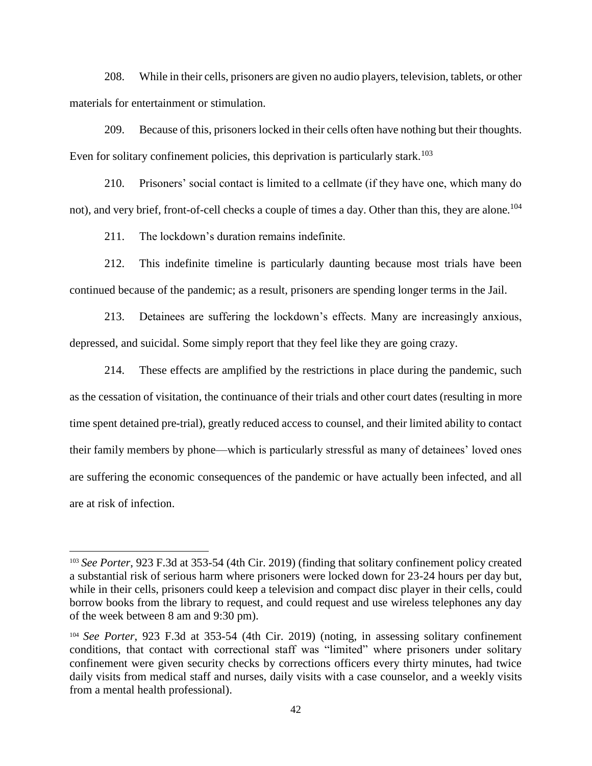208. While in their cells, prisoners are given no audio players, television, tablets, or other materials for entertainment or stimulation.

209. Because of this, prisoners locked in their cells often have nothing but their thoughts. Even for solitary confinement policies, this deprivation is particularly stark.<sup>103</sup>

210. Prisoners' social contact is limited to a cellmate (if they have one, which many do not), and very brief, front-of-cell checks a couple of times a day. Other than this, they are alone.<sup>104</sup>

211. The lockdown's duration remains indefinite.

212. This indefinite timeline is particularly daunting because most trials have been continued because of the pandemic; as a result, prisoners are spending longer terms in the Jail.

213. Detainees are suffering the lockdown's effects. Many are increasingly anxious, depressed, and suicidal. Some simply report that they feel like they are going crazy.

214. These effects are amplified by the restrictions in place during the pandemic, such as the cessation of visitation, the continuance of their trials and other court dates (resulting in more time spent detained pre-trial), greatly reduced access to counsel, and their limited ability to contact their family members by phone—which is particularly stressful as many of detainees' loved ones are suffering the economic consequences of the pandemic or have actually been infected, and all are at risk of infection.

<sup>103</sup> *See Porter*, 923 F.3d at 353-54 (4th Cir. 2019) (finding that solitary confinement policy created a substantial risk of serious harm where prisoners were locked down for 23-24 hours per day but, while in their cells, prisoners could keep a television and compact disc player in their cells, could borrow books from the library to request, and could request and use wireless telephones any day of the week between 8 am and 9:30 pm).

<sup>104</sup> *See Porter*, 923 F.3d at 353-54 (4th Cir. 2019) (noting, in assessing solitary confinement conditions, that contact with correctional staff was "limited" where prisoners under solitary confinement were given security checks by corrections officers every thirty minutes, had twice daily visits from medical staff and nurses, daily visits with a case counselor, and a weekly visits from a mental health professional).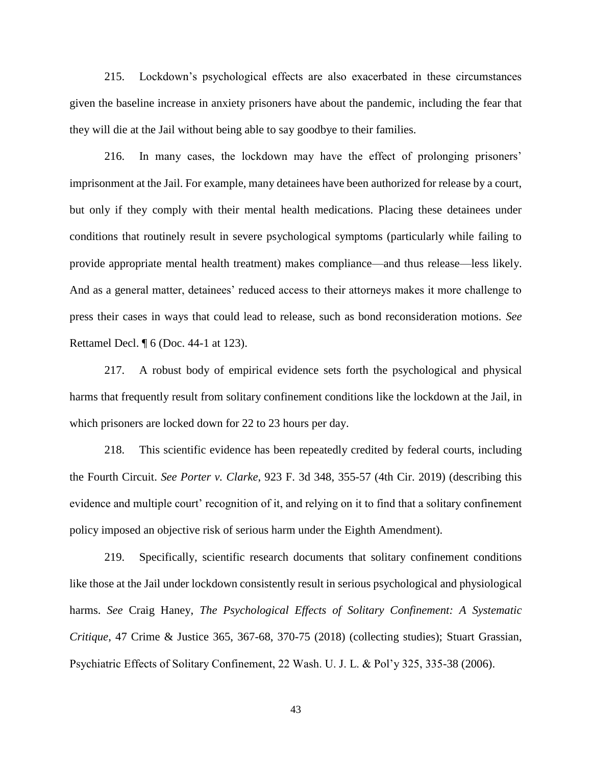215. Lockdown's psychological effects are also exacerbated in these circumstances given the baseline increase in anxiety prisoners have about the pandemic, including the fear that they will die at the Jail without being able to say goodbye to their families.

216. In many cases, the lockdown may have the effect of prolonging prisoners' imprisonment at the Jail. For example, many detainees have been authorized for release by a court, but only if they comply with their mental health medications. Placing these detainees under conditions that routinely result in severe psychological symptoms (particularly while failing to provide appropriate mental health treatment) makes compliance—and thus release—less likely. And as a general matter, detainees' reduced access to their attorneys makes it more challenge to press their cases in ways that could lead to release, such as bond reconsideration motions. *See*  Rettamel Decl. ¶ 6 (Doc. 44-1 at 123).

217. A robust body of empirical evidence sets forth the psychological and physical harms that frequently result from solitary confinement conditions like the lockdown at the Jail, in which prisoners are locked down for 22 to 23 hours per day.

218. This scientific evidence has been repeatedly credited by federal courts, including the Fourth Circuit. *See Porter v. Clarke*, 923 F. 3d 348, 355-57 (4th Cir. 2019) (describing this evidence and multiple court' recognition of it, and relying on it to find that a solitary confinement policy imposed an objective risk of serious harm under the Eighth Amendment).

219. Specifically, scientific research documents that solitary confinement conditions like those at the Jail under lockdown consistently result in serious psychological and physiological harms. *See* Craig Haney, *The Psychological Effects of Solitary Confinement: A Systematic Critique*, 47 Crime & Justice 365, 367-68, 370-75 (2018) (collecting studies); Stuart Grassian, Psychiatric Effects of Solitary Confinement, 22 Wash. U. J. L. & Pol'y 325, 335-38 (2006).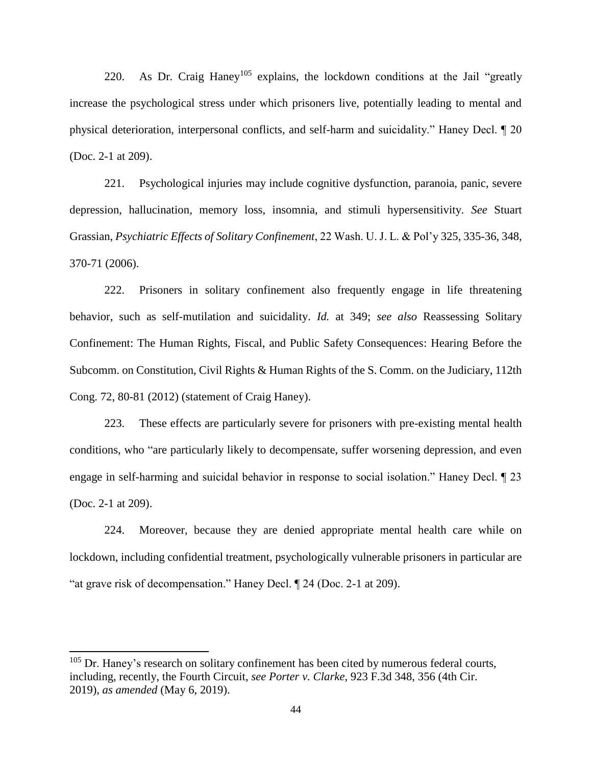220. As Dr. Craig Haney<sup>105</sup> explains, the lockdown conditions at the Jail "greatly" increase the psychological stress under which prisoners live, potentially leading to mental and physical deterioration, interpersonal conflicts, and self-harm and suicidality." Haney Decl. ¶ 20 (Doc. 2-1 at 209).

221. Psychological injuries may include cognitive dysfunction, paranoia, panic, severe depression, hallucination, memory loss, insomnia, and stimuli hypersensitivity. *See* Stuart Grassian, *Psychiatric Effects of Solitary Confinement*, 22 Wash. U. J. L. & Pol'y 325, 335-36, 348, 370-71 (2006).

222. Prisoners in solitary confinement also frequently engage in life threatening behavior, such as self-mutilation and suicidality. *Id.* at 349; *see also* Reassessing Solitary Confinement: The Human Rights, Fiscal, and Public Safety Consequences: Hearing Before the Subcomm. on Constitution, Civil Rights & Human Rights of the S. Comm. on the Judiciary, 112th Cong. 72, 80-81 (2012) (statement of Craig Haney).

223. These effects are particularly severe for prisoners with pre-existing mental health conditions, who "are particularly likely to decompensate, suffer worsening depression, and even engage in self-harming and suicidal behavior in response to social isolation." Haney Decl. ¶ 23 (Doc. 2-1 at 209).

224. Moreover, because they are denied appropriate mental health care while on lockdown, including confidential treatment, psychologically vulnerable prisoners in particular are "at grave risk of decompensation." Haney Decl. ¶ 24 (Doc. 2-1 at 209).

 $105$  Dr. Haney's research on solitary confinement has been cited by numerous federal courts, including, recently, the Fourth Circuit, *see Porter v. Clarke*, 923 F.3d 348, 356 (4th Cir. 2019), *as amended* (May 6, 2019).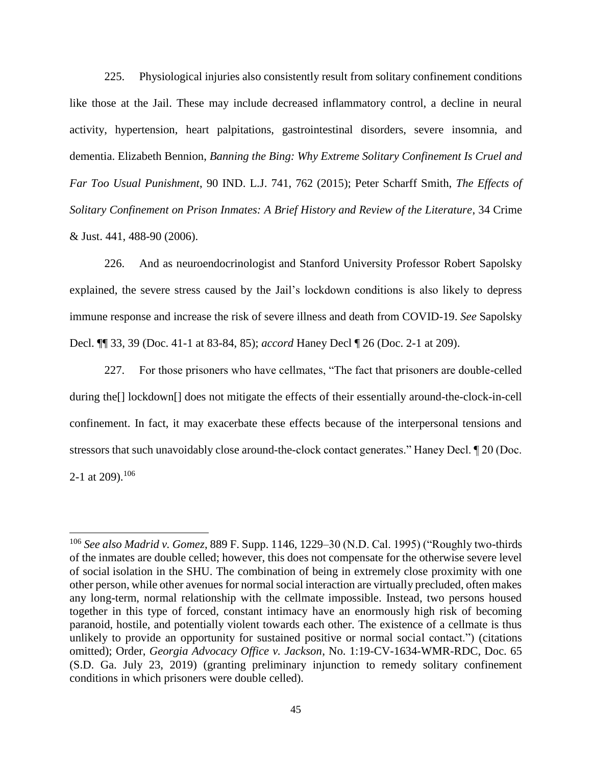225. Physiological injuries also consistently result from solitary confinement conditions like those at the Jail. These may include decreased inflammatory control, a decline in neural activity, hypertension, heart palpitations, gastrointestinal disorders, severe insomnia, and dementia. Elizabeth Bennion, *Banning the Bing: Why Extreme Solitary Confinement Is Cruel and Far Too Usual Punishment*, 90 IND. L.J. 741, 762 (2015); Peter Scharff Smith, *The Effects of Solitary Confinement on Prison Inmates: A Brief History and Review of the Literature*, 34 Crime & Just. 441, 488-90 (2006).

226. And as neuroendocrinologist and Stanford University Professor Robert Sapolsky explained, the severe stress caused by the Jail's lockdown conditions is also likely to depress immune response and increase the risk of severe illness and death from COVID-19. *See* Sapolsky Decl. ¶¶ 33, 39 (Doc. 41-1 at 83-84, 85); *accord* Haney Decl ¶ 26 (Doc. 2-1 at 209).

227. For those prisoners who have cellmates, "The fact that prisoners are double-celled during the[] lockdown[] does not mitigate the effects of their essentially around-the-clock-in-cell confinement. In fact, it may exacerbate these effects because of the interpersonal tensions and stressors that such unavoidably close around-the-clock contact generates." Haney Decl. ¶ 20 (Doc. 2-1 at 209).<sup>106</sup>

<sup>106</sup> *See also Madrid v. Gomez*, 889 F. Supp. 1146, 1229–30 (N.D. Cal. 1995) ("Roughly two-thirds of the inmates are double celled; however, this does not compensate for the otherwise severe level of social isolation in the SHU. The combination of being in extremely close proximity with one other person, while other avenues for normal social interaction are virtually precluded, often makes any long-term, normal relationship with the cellmate impossible. Instead, two persons housed together in this type of forced, constant intimacy have an enormously high risk of becoming paranoid, hostile, and potentially violent towards each other. The existence of a cellmate is thus unlikely to provide an opportunity for sustained positive or normal social contact.") (citations omitted); Order, *Georgia Advocacy Office v. Jackson*, No. 1:19-CV-1634-WMR-RDC, Doc. 65 (S.D. Ga. July 23, 2019) (granting preliminary injunction to remedy solitary confinement conditions in which prisoners were double celled).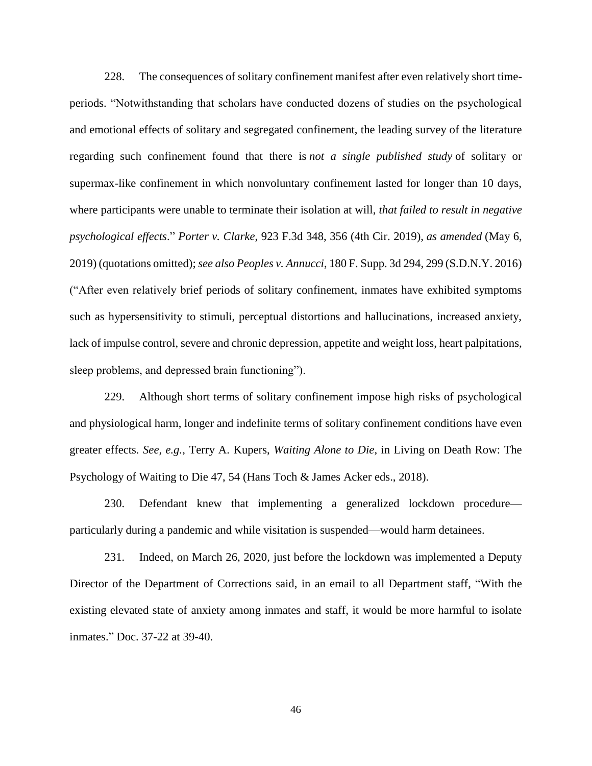228. The consequences of solitary confinement manifest after even relatively short timeperiods. "Notwithstanding that scholars have conducted dozens of studies on the psychological and emotional effects of solitary and segregated confinement, the leading survey of the literature regarding such confinement found that there is *not a single published study* of solitary or supermax-like confinement in which nonvoluntary confinement lasted for longer than 10 days, where participants were unable to terminate their isolation at will, *that failed to result in negative psychological effects*." *Porter v. Clarke*, 923 F.3d 348, 356 (4th Cir. 2019), *as amended* (May 6, 2019) (quotations omitted); *see also Peoples v. Annucci*, 180 F. Supp. 3d 294, 299 (S.D.N.Y. 2016) ("After even relatively brief periods of solitary confinement, inmates have exhibited symptoms such as hypersensitivity to stimuli, perceptual distortions and hallucinations, increased anxiety, lack of impulse control, severe and chronic depression, appetite and weight loss, heart palpitations, sleep problems, and depressed brain functioning").

229. Although short terms of solitary confinement impose high risks of psychological and physiological harm, longer and indefinite terms of solitary confinement conditions have even greater effects. *See, e.g.*, Terry A. Kupers, *Waiting Alone to Die*, in Living on Death Row: The Psychology of Waiting to Die 47, 54 (Hans Toch & James Acker eds., 2018).

230. Defendant knew that implementing a generalized lockdown procedure particularly during a pandemic and while visitation is suspended—would harm detainees.

231. Indeed, on March 26, 2020, just before the lockdown was implemented a Deputy Director of the Department of Corrections said, in an email to all Department staff, "With the existing elevated state of anxiety among inmates and staff, it would be more harmful to isolate inmates." Doc. 37-22 at 39-40.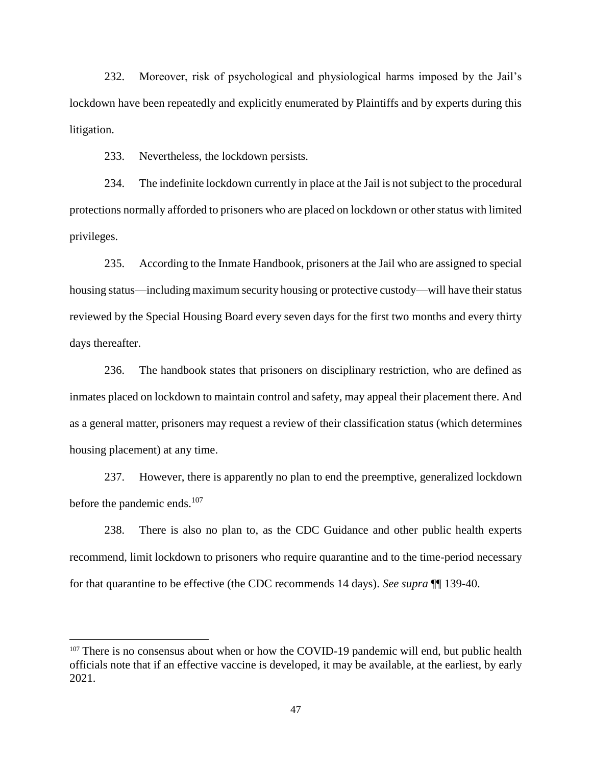232. Moreover, risk of psychological and physiological harms imposed by the Jail's lockdown have been repeatedly and explicitly enumerated by Plaintiffs and by experts during this litigation.

233. Nevertheless, the lockdown persists.

 $\overline{a}$ 

234. The indefinite lockdown currently in place at the Jail is not subject to the procedural protections normally afforded to prisoners who are placed on lockdown or other status with limited privileges.

235. According to the Inmate Handbook, prisoners at the Jail who are assigned to special housing status—including maximum security housing or protective custody—will have their status reviewed by the Special Housing Board every seven days for the first two months and every thirty days thereafter.

236. The handbook states that prisoners on disciplinary restriction, who are defined as inmates placed on lockdown to maintain control and safety, may appeal their placement there. And as a general matter, prisoners may request a review of their classification status (which determines housing placement) at any time.

237. However, there is apparently no plan to end the preemptive, generalized lockdown before the pandemic ends.<sup>107</sup>

238. There is also no plan to, as the CDC Guidance and other public health experts recommend, limit lockdown to prisoners who require quarantine and to the time-period necessary for that quarantine to be effective (the CDC recommends 14 days). *See supra* ¶¶ 139-40.

 $107$  There is no consensus about when or how the COVID-19 pandemic will end, but public health officials note that if an effective vaccine is developed, it may be available, at the earliest, by early 2021.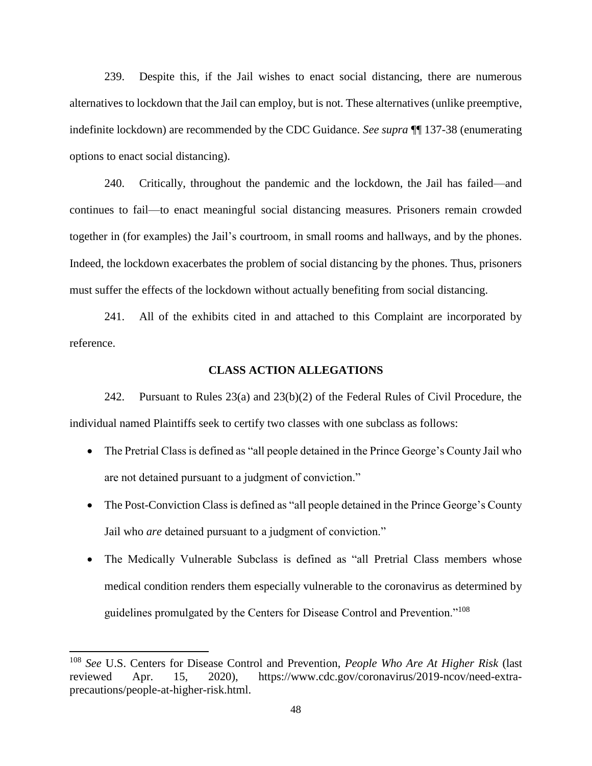239. Despite this, if the Jail wishes to enact social distancing, there are numerous alternatives to lockdown that the Jail can employ, but is not. These alternatives (unlike preemptive, indefinite lockdown) are recommended by the CDC Guidance. *See supra* ¶¶ 137-38 (enumerating options to enact social distancing).

240. Critically, throughout the pandemic and the lockdown, the Jail has failed—and continues to fail—to enact meaningful social distancing measures. Prisoners remain crowded together in (for examples) the Jail's courtroom, in small rooms and hallways, and by the phones. Indeed, the lockdown exacerbates the problem of social distancing by the phones. Thus, prisoners must suffer the effects of the lockdown without actually benefiting from social distancing.

241. All of the exhibits cited in and attached to this Complaint are incorporated by reference.

#### **CLASS ACTION ALLEGATIONS**

242. Pursuant to Rules 23(a) and 23(b)(2) of the Federal Rules of Civil Procedure, the individual named Plaintiffs seek to certify two classes with one subclass as follows:

- The Pretrial Class is defined as "all people detained in the Prince George's County Jail who are not detained pursuant to a judgment of conviction."
- The Post-Conviction Class is defined as "all people detained in the Prince George's County Jail who *are* detained pursuant to a judgment of conviction."
- The Medically Vulnerable Subclass is defined as "all Pretrial Class members whose medical condition renders them especially vulnerable to the coronavirus as determined by guidelines promulgated by the Centers for Disease Control and Prevention."<sup>108</sup>

<sup>108</sup> *See* U.S. Centers for Disease Control and Prevention, *People Who Are At Higher Risk* (last reviewed Apr. 15, 2020), https://www.cdc.gov/coronavirus/2019-ncov/need-extraprecautions/people-at-higher-risk.html.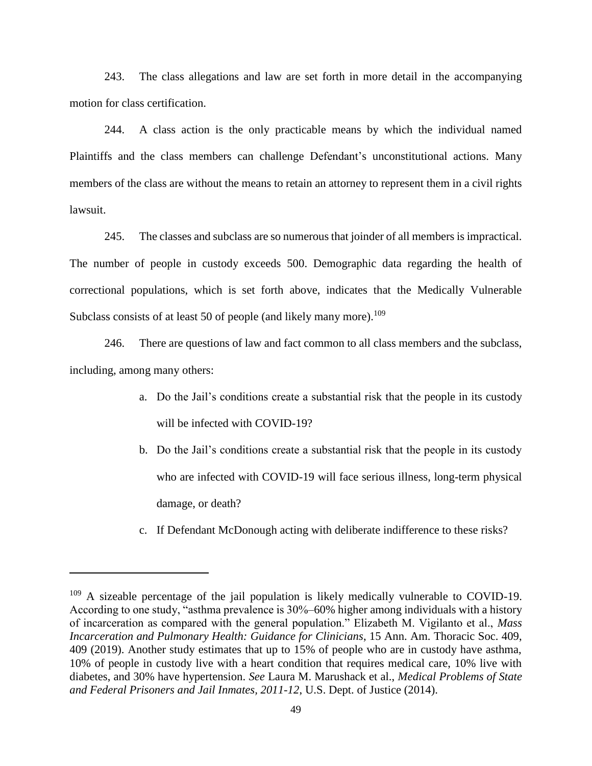243. The class allegations and law are set forth in more detail in the accompanying motion for class certification.

244. A class action is the only practicable means by which the individual named Plaintiffs and the class members can challenge Defendant's unconstitutional actions. Many members of the class are without the means to retain an attorney to represent them in a civil rights lawsuit.

245. The classes and subclass are so numerous that joinder of all members is impractical. The number of people in custody exceeds 500. Demographic data regarding the health of correctional populations, which is set forth above, indicates that the Medically Vulnerable Subclass consists of at least 50 of people (and likely many more).  $109$ 

246. There are questions of law and fact common to all class members and the subclass, including, among many others:

- a. Do the Jail's conditions create a substantial risk that the people in its custody will be infected with COVID-19?
- b. Do the Jail's conditions create a substantial risk that the people in its custody who are infected with COVID-19 will face serious illness, long-term physical damage, or death?
- c. If Defendant McDonough acting with deliberate indifference to these risks?

<sup>109</sup> A sizeable percentage of the jail population is likely medically vulnerable to COVID-19. According to one study, "asthma prevalence is 30%–60% higher among individuals with a history of incarceration as compared with the general population." Elizabeth M. Vigilanto et al., *Mass Incarceration and Pulmonary Health: Guidance for Clinicians*, 15 Ann. Am. Thoracic Soc. 409, 409 (2019). Another study estimates that up to 15% of people who are in custody have asthma, 10% of people in custody live with a heart condition that requires medical care, 10% live with diabetes, and 30% have hypertension. *See* Laura M. Marushack et al., *Medical Problems of State and Federal Prisoners and Jail Inmates, 2011-12*, U.S. Dept. of Justice (2014).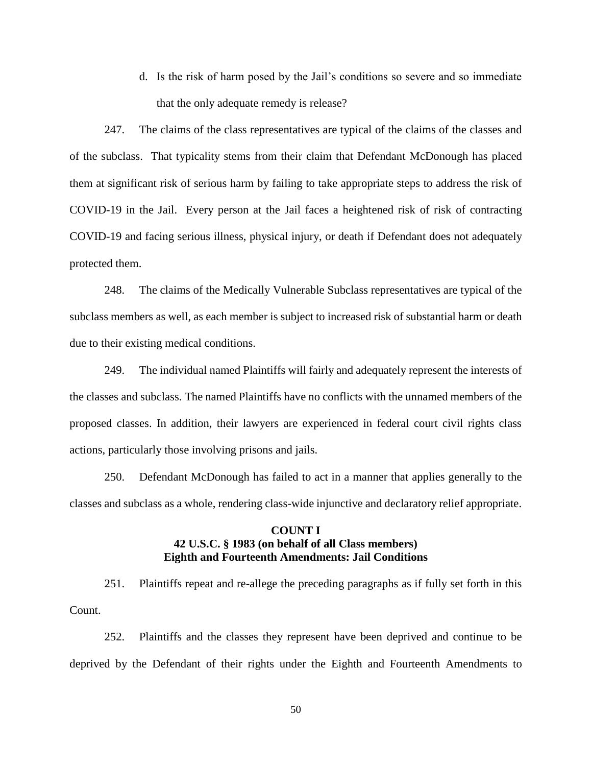d. Is the risk of harm posed by the Jail's conditions so severe and so immediate that the only adequate remedy is release?

247. The claims of the class representatives are typical of the claims of the classes and of the subclass. That typicality stems from their claim that Defendant McDonough has placed them at significant risk of serious harm by failing to take appropriate steps to address the risk of COVID-19 in the Jail. Every person at the Jail faces a heightened risk of risk of contracting COVID-19 and facing serious illness, physical injury, or death if Defendant does not adequately protected them.

248. The claims of the Medically Vulnerable Subclass representatives are typical of the subclass members as well, as each member is subject to increased risk of substantial harm or death due to their existing medical conditions.

249. The individual named Plaintiffs will fairly and adequately represent the interests of the classes and subclass. The named Plaintiffs have no conflicts with the unnamed members of the proposed classes. In addition, their lawyers are experienced in federal court civil rights class actions, particularly those involving prisons and jails.

250. Defendant McDonough has failed to act in a manner that applies generally to the classes and subclass as a whole, rendering class-wide injunctive and declaratory relief appropriate.

### **COUNT I 42 U.S.C. § 1983 (on behalf of all Class members) Eighth and Fourteenth Amendments: Jail Conditions**

251. Plaintiffs repeat and re-allege the preceding paragraphs as if fully set forth in this Count.

252. Plaintiffs and the classes they represent have been deprived and continue to be deprived by the Defendant of their rights under the Eighth and Fourteenth Amendments to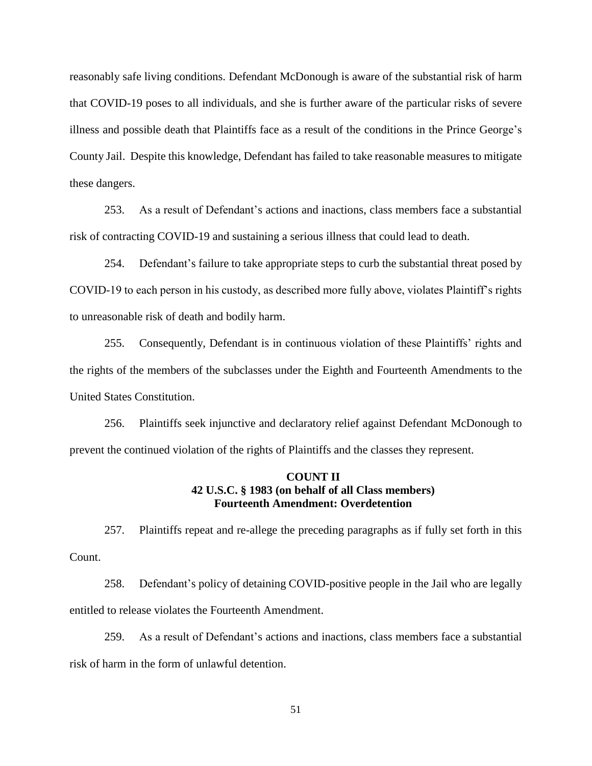reasonably safe living conditions. Defendant McDonough is aware of the substantial risk of harm that COVID-19 poses to all individuals, and she is further aware of the particular risks of severe illness and possible death that Plaintiffs face as a result of the conditions in the Prince George's County Jail. Despite this knowledge, Defendant has failed to take reasonable measures to mitigate these dangers.

253. As a result of Defendant's actions and inactions, class members face a substantial risk of contracting COVID-19 and sustaining a serious illness that could lead to death.

254. Defendant's failure to take appropriate steps to curb the substantial threat posed by COVID-19 to each person in his custody, as described more fully above, violates Plaintiff's rights to unreasonable risk of death and bodily harm.

255. Consequently, Defendant is in continuous violation of these Plaintiffs' rights and the rights of the members of the subclasses under the Eighth and Fourteenth Amendments to the United States Constitution.

256. Plaintiffs seek injunctive and declaratory relief against Defendant McDonough to prevent the continued violation of the rights of Plaintiffs and the classes they represent.

### **COUNT II 42 U.S.C. § 1983 (on behalf of all Class members) Fourteenth Amendment: Overdetention**

257. Plaintiffs repeat and re-allege the preceding paragraphs as if fully set forth in this Count.

258. Defendant's policy of detaining COVID-positive people in the Jail who are legally entitled to release violates the Fourteenth Amendment.

259. As a result of Defendant's actions and inactions, class members face a substantial risk of harm in the form of unlawful detention.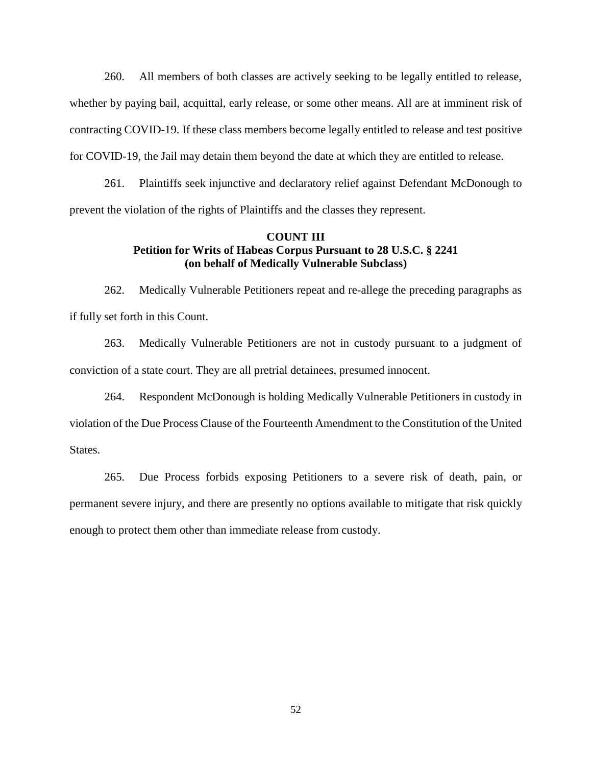260. All members of both classes are actively seeking to be legally entitled to release, whether by paying bail, acquittal, early release, or some other means. All are at imminent risk of contracting COVID-19. If these class members become legally entitled to release and test positive for COVID-19, the Jail may detain them beyond the date at which they are entitled to release.

261. Plaintiffs seek injunctive and declaratory relief against Defendant McDonough to prevent the violation of the rights of Plaintiffs and the classes they represent.

### **COUNT III Petition for Writs of Habeas Corpus Pursuant to 28 U.S.C. § 2241 (on behalf of Medically Vulnerable Subclass)**

262. Medically Vulnerable Petitioners repeat and re-allege the preceding paragraphs as if fully set forth in this Count.

263. Medically Vulnerable Petitioners are not in custody pursuant to a judgment of conviction of a state court. They are all pretrial detainees, presumed innocent.

264. Respondent McDonough is holding Medically Vulnerable Petitioners in custody in violation of the Due Process Clause of the Fourteenth Amendment to the Constitution of the United States.

265. Due Process forbids exposing Petitioners to a severe risk of death, pain, or permanent severe injury, and there are presently no options available to mitigate that risk quickly enough to protect them other than immediate release from custody.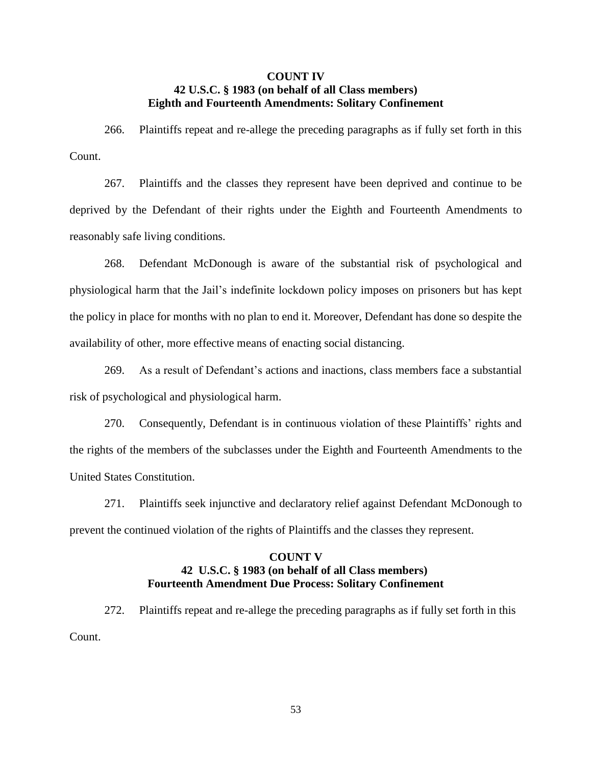### **COUNT IV 42 U.S.C. § 1983 (on behalf of all Class members) Eighth and Fourteenth Amendments: Solitary Confinement**

266. Plaintiffs repeat and re-allege the preceding paragraphs as if fully set forth in this Count.

267. Plaintiffs and the classes they represent have been deprived and continue to be deprived by the Defendant of their rights under the Eighth and Fourteenth Amendments to reasonably safe living conditions.

268. Defendant McDonough is aware of the substantial risk of psychological and physiological harm that the Jail's indefinite lockdown policy imposes on prisoners but has kept the policy in place for months with no plan to end it. Moreover, Defendant has done so despite the availability of other, more effective means of enacting social distancing.

269. As a result of Defendant's actions and inactions, class members face a substantial risk of psychological and physiological harm.

270. Consequently, Defendant is in continuous violation of these Plaintiffs' rights and the rights of the members of the subclasses under the Eighth and Fourteenth Amendments to the United States Constitution.

271. Plaintiffs seek injunctive and declaratory relief against Defendant McDonough to prevent the continued violation of the rights of Plaintiffs and the classes they represent.

## **COUNT V 42 U.S.C. § 1983 (on behalf of all Class members) Fourteenth Amendment Due Process: Solitary Confinement**

272. Plaintiffs repeat and re-allege the preceding paragraphs as if fully set forth in this Count.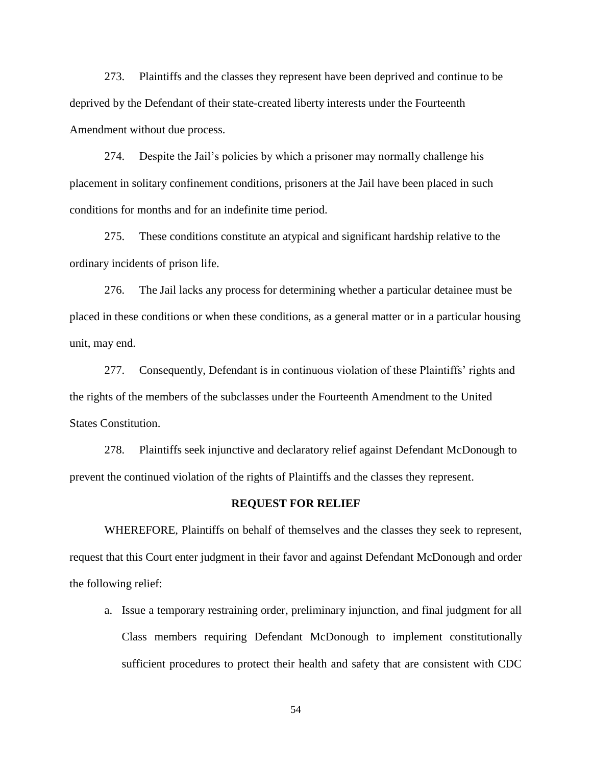273. Plaintiffs and the classes they represent have been deprived and continue to be deprived by the Defendant of their state-created liberty interests under the Fourteenth Amendment without due process.

274. Despite the Jail's policies by which a prisoner may normally challenge his placement in solitary confinement conditions, prisoners at the Jail have been placed in such conditions for months and for an indefinite time period.

275. These conditions constitute an atypical and significant hardship relative to the ordinary incidents of prison life.

276. The Jail lacks any process for determining whether a particular detainee must be placed in these conditions or when these conditions, as a general matter or in a particular housing unit, may end.

277. Consequently, Defendant is in continuous violation of these Plaintiffs' rights and the rights of the members of the subclasses under the Fourteenth Amendment to the United States Constitution.

278. Plaintiffs seek injunctive and declaratory relief against Defendant McDonough to prevent the continued violation of the rights of Plaintiffs and the classes they represent.

#### **REQUEST FOR RELIEF**

 WHEREFORE, Plaintiffs on behalf of themselves and the classes they seek to represent, request that this Court enter judgment in their favor and against Defendant McDonough and order the following relief:

a. Issue a temporary restraining order, preliminary injunction, and final judgment for all Class members requiring Defendant McDonough to implement constitutionally sufficient procedures to protect their health and safety that are consistent with CDC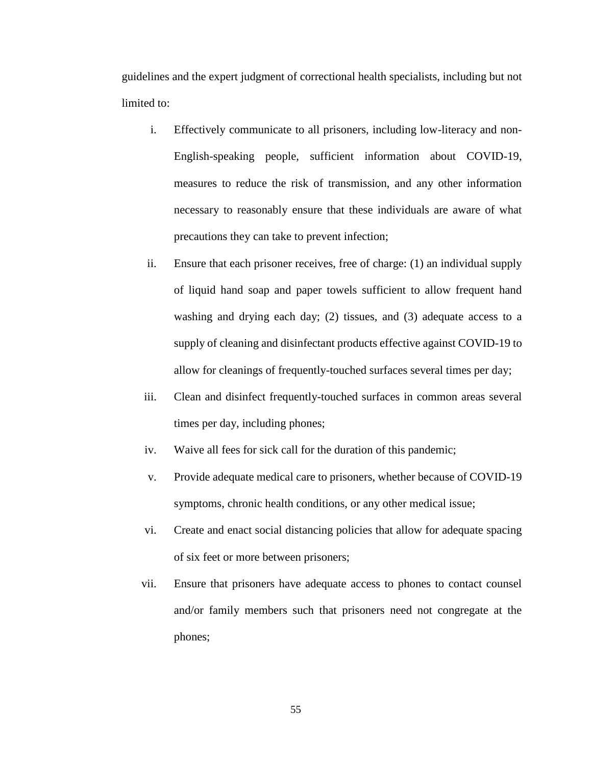guidelines and the expert judgment of correctional health specialists, including but not limited to:

- i. Effectively communicate to all prisoners, including low-literacy and non-English-speaking people, sufficient information about COVID-19, measures to reduce the risk of transmission, and any other information necessary to reasonably ensure that these individuals are aware of what precautions they can take to prevent infection;
- ii. Ensure that each prisoner receives, free of charge: (1) an individual supply of liquid hand soap and paper towels sufficient to allow frequent hand washing and drying each day; (2) tissues, and (3) adequate access to a supply of cleaning and disinfectant products effective against COVID-19 to allow for cleanings of frequently-touched surfaces several times per day;
- iii. Clean and disinfect frequently-touched surfaces in common areas several times per day, including phones;
- iv. Waive all fees for sick call for the duration of this pandemic;
- v. Provide adequate medical care to prisoners, whether because of COVID-19 symptoms, chronic health conditions, or any other medical issue;
- vi. Create and enact social distancing policies that allow for adequate spacing of six feet or more between prisoners;
- vii. Ensure that prisoners have adequate access to phones to contact counsel and/or family members such that prisoners need not congregate at the phones;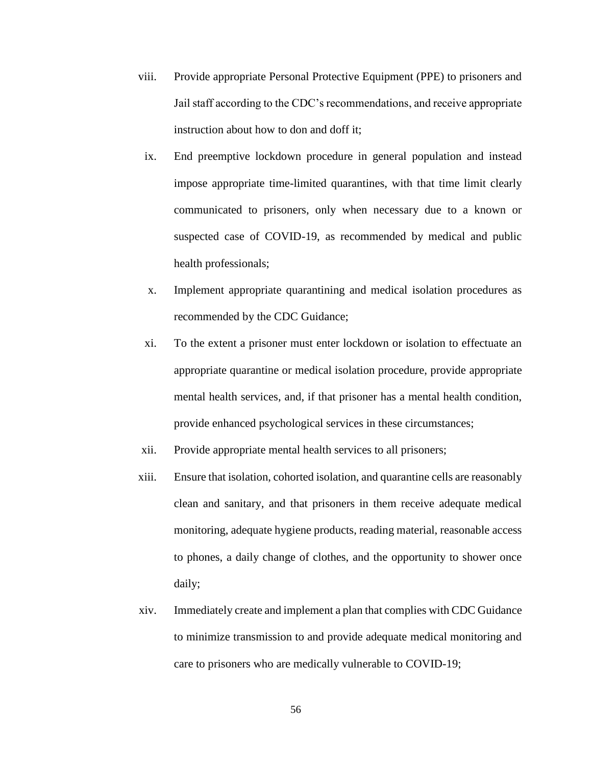- viii. Provide appropriate Personal Protective Equipment (PPE) to prisoners and Jail staff according to the CDC's recommendations, and receive appropriate instruction about how to don and doff it;
- ix. End preemptive lockdown procedure in general population and instead impose appropriate time-limited quarantines, with that time limit clearly communicated to prisoners, only when necessary due to a known or suspected case of COVID-19, as recommended by medical and public health professionals;
- x. Implement appropriate quarantining and medical isolation procedures as recommended by the CDC Guidance;
- xi. To the extent a prisoner must enter lockdown or isolation to effectuate an appropriate quarantine or medical isolation procedure, provide appropriate mental health services, and, if that prisoner has a mental health condition, provide enhanced psychological services in these circumstances;
- xii. Provide appropriate mental health services to all prisoners;
- xiii. Ensure that isolation, cohorted isolation, and quarantine cells are reasonably clean and sanitary, and that prisoners in them receive adequate medical monitoring, adequate hygiene products, reading material, reasonable access to phones, a daily change of clothes, and the opportunity to shower once daily;
- xiv. Immediately create and implement a plan that complies with CDC Guidance to minimize transmission to and provide adequate medical monitoring and care to prisoners who are medically vulnerable to COVID-19;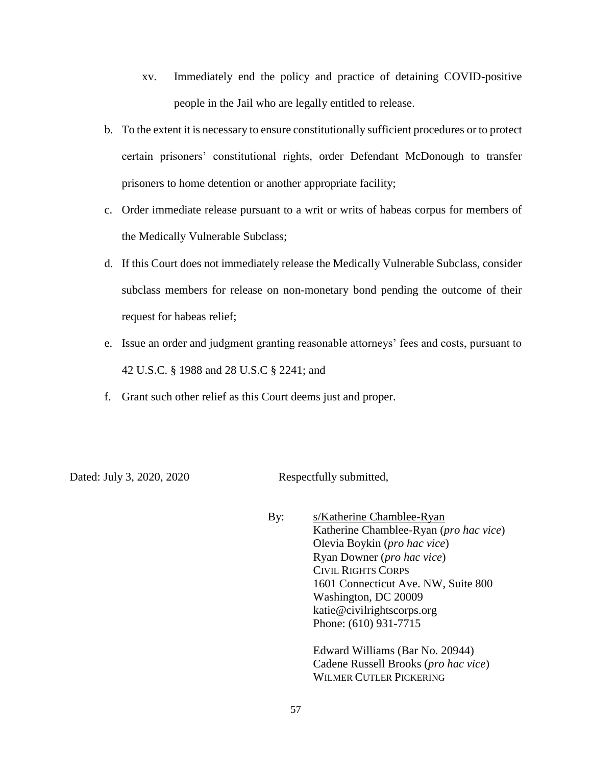- xv. Immediately end the policy and practice of detaining COVID-positive people in the Jail who are legally entitled to release.
- b. To the extent it is necessary to ensure constitutionally sufficient procedures or to protect certain prisoners' constitutional rights, order Defendant McDonough to transfer prisoners to home detention or another appropriate facility;
- c. Order immediate release pursuant to a writ or writs of habeas corpus for members of the Medically Vulnerable Subclass;
- d. If this Court does not immediately release the Medically Vulnerable Subclass, consider subclass members for release on non-monetary bond pending the outcome of their request for habeas relief;
- e. Issue an order and judgment granting reasonable attorneys' fees and costs, pursuant to 42 U.S.C. § 1988 and 28 U.S.C § 2241; and
- f. Grant such other relief as this Court deems just and proper.

Dated: July 3, 2020, 2020 Respectfully submitted,

By: s/Katherine Chamblee-Ryan Katherine Chamblee-Ryan (*pro hac vice*) Olevia Boykin (*pro hac vice*) Ryan Downer (*pro hac vice*) CIVIL RIGHTS CORPS 1601 Connecticut Ave. NW, Suite 800 Washington, DC 20009 katie@civilrightscorps.org Phone: (610) 931-7715

Edward Williams (Bar No. 20944) Cadene Russell Brooks (*pro hac vice*) WILMER CUTLER PICKERING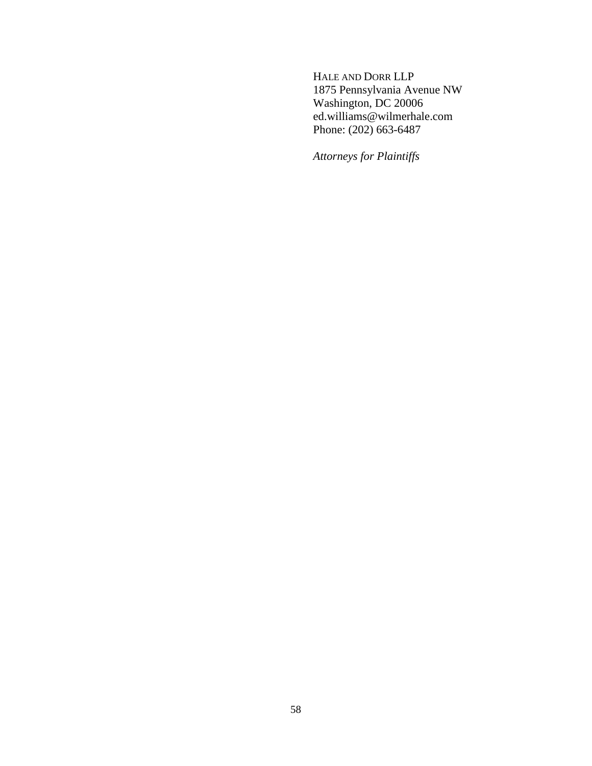HALE AND DORR LLP 1875 Pennsylvania Avenue NW Washington, DC 20006 ed.williams@wilmerhale.com Phone: (202) 663-6487

*Attorneys for Plaintiffs*